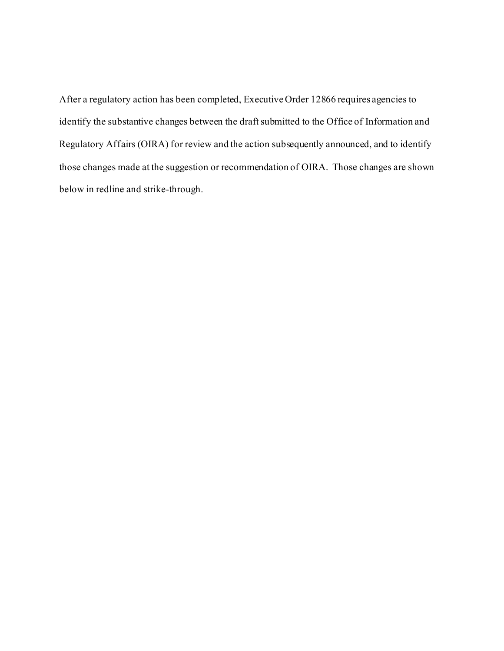After a regulatory action has been completed, Executive Order 12866 requires agencies to identify the substantive changes between the draft submitted to the Office of Information and Regulatory Affairs (OIRA) for review and the action subsequently announced, and to identify those changes made at the suggestion or recommendation of OIRA. Those changes are shown below in redline and strike-through.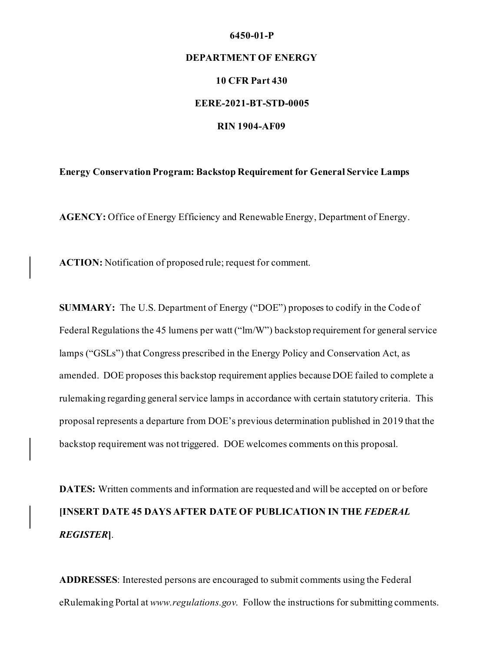#### **6450-01-P**

## **DEPARTMENT OF ENERGY**

### **10 CFR Part 430**

#### **EERE-2021-BT-STD-0005**

#### **RIN 1904-AF09**

#### **Energy Conservation Program: Backstop Requirement for General Service Lamps**

**AGENCY:** Office of Energy Efficiency and Renewable Energy, Department of Energy.

**ACTION:** Notification of proposed rule; request for comment.

**SUMMARY:** The U.S. Department of Energy ("DOE") proposes to codify in the Code of Federal Regulations the 45 lumens per watt ("lm/W") backstop requirement for general service lamps ("GSLs") that Congress prescribed in the Energy Policy and Conservation Act, as amended. DOE proposes this backstop requirement applies because DOE failed to complete a rulemaking regarding general service lamps in accordance with certain statutory criteria. This proposal represents a departure from DOE's previous determination published in 2019 that the backstop requirement was not triggered. DOE welcomes comments on this proposal.

**DATES:** Written comments and information are requested and will be accepted on or before **[INSERT DATE 45 DAYS AFTER DATE OF PUBLICATION IN THE** *FEDERAL REGISTER***]**.

**ADDRESSES**: Interested persons are encouraged to submit comments using the Federal eRulemaking Portal at *www.regulations.gov*. Follow the instructions for submitting comments.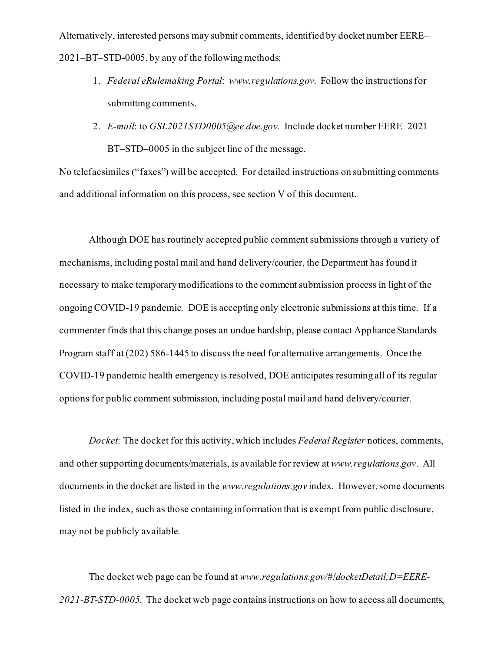Alternatively, interested persons may submit comments, identified by docket number EERE– 2021–BT–STD-0005, by any of the following methods:

- 1. *Federal eRulemaking Portal*: *www.regulations.gov*. Follow the instructions for submitting comments.
- 2. *E-mail*: to *GSL2021STD0005@ee.doe.gov*. Include docket number EERE–2021– BT–STD–0005 in the subject line of the message.

No telefacsimiles ("faxes") will be accepted. For detailed instructions on submitting comments and additional information on this process, see section V of this document.

Although DOE has routinely accepted public comment submissions through a variety of mechanisms, including postal mail and hand delivery/courier, the Department has found it necessary to make temporary modifications to the comment submission process in light of the ongoing COVID-19 pandemic. DOE is accepting only electronic submissions at this time. If a commenter finds that this change poses an undue hardship, please contact Appliance Standards Program staff at (202) 586-1445 to discuss the need for alternative arrangements. Once the COVID-19 pandemic health emergency is resolved, DOE anticipates resuming all of its regular options for public comment submission, including postal mail and hand delivery/courier.

*Docket:* The docket for this activity, which includes *Federal Register* notices, comments, and other supporting documents/materials, is available for review at *www.regulations.gov*. All documents in the docket are listed in the *www.regulations.gov* index. However, some documents listed in the index, such as those containing information that is exempt from public disclosure, may not be publicly available.

The docket web page can be found at *www.regulations.gov/#!docketDetail;D=EERE-2021-BT-STD-0005*. The docket web page contains instructions on how to access all documents,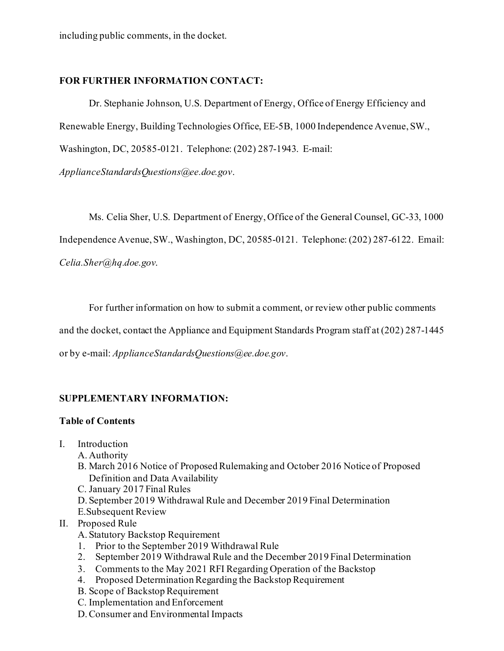# **FOR FURTHER INFORMATION CONTACT:**

Dr. Stephanie Johnson, U.S. Department of Energy, Office of Energy Efficiency and Renewable Energy, Building Technologies Office, EE-5B, 1000 Independence Avenue, SW., Washington, DC, 20585-0121. Telephone: (202) 287-1943. E-mail:

*ApplianceStandardsQuestions@ee.doe.gov*.

Ms. Celia Sher, U.S. Department of Energy, Office of the General Counsel, GC-33, 1000 Independence Avenue, SW., Washington, DC, 20585-0121. Telephone: (202) 287-6122. Email: *Celia.Sher@hq.doe.gov*.

For further information on how to submit a comment, or review other public comments

and the docket, contact the Appliance and Equipment Standards Program staff at (202) 287-1445

or by e-mail: *ApplianceStandardsQuestions@ee.doe.gov*.

# **SUPPLEMENTARY INFORMATION:**

# **Table of Contents**

- I. Introduction
	- A. Authority
	- B. March 2016 Notice of Proposed Rulemaking and October 2016 Notice of Proposed Definition and Data Availability
	- C. January 2017 Final Rules
	- D. September 2019 Withdrawal Rule and December 2019 Final Determination
	- E.Subsequent Review

# II. Proposed Rule

- A. Statutory Backstop Requirement
- 1. Prior to the September 2019 Withdrawal Rule
- 2. September 2019 Withdrawal Rule and the December 2019 Final Determination
- 3. Comments to the May 2021 RFI Regarding Operation of the Backstop
- 4. Proposed Determination Regarding the Backstop Requirement
- B. Scope of Backstop Requirement
- C. Implementation and Enforcement
- D.Consumer and Environmental Impacts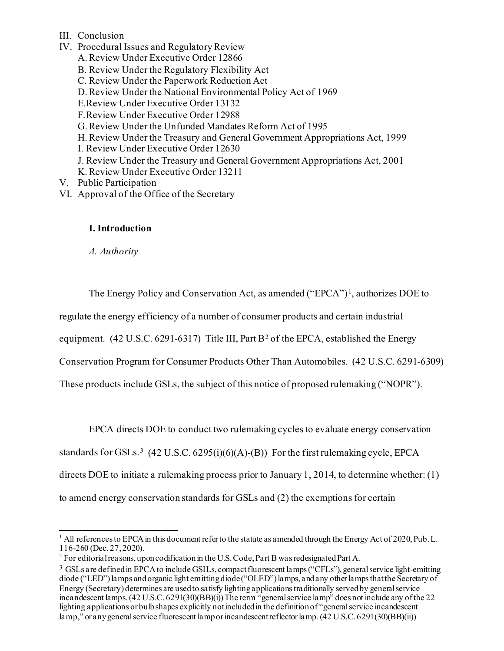- III. Conclusion
- IV. Procedural Issues and Regulatory Review A.Review Under Executive Order 12866 B. Review Under the Regulatory Flexibility Act C. Review Under the Paperwork Reduction Act D.Review Under the National Environmental Policy Act of 1969 E.Review Under Executive Order 13132 F.Review Under Executive Order 12988 G.Review Under the Unfunded Mandates Reform Act of 1995 H.Review Under the Treasury and General Government Appropriations Act, 1999 I. Review Under Executive Order 12630 J. Review Under the Treasury and General Government Appropriations Act, 2001 K.Review Under Executive Order 13211 V. Public Participation VI. Approval of the Office of the Secretary

# **I. Introduction**

*A. Authority*

The Energy Policy and Conservation Act, as amended  $("EPCA")<sup>1</sup>$  $("EPCA")<sup>1</sup>$  $("EPCA")<sup>1</sup>$ , authorizes DOE to

regulate the energy efficiency of a number of consumer products and certain industrial

equipment. (4[2](#page-4-1) U.S.C. 6291-6317) Title III, Part B<sup>2</sup> of the EPCA, established the Energy

Conservation Program for Consumer Products Other Than Automobiles. (42 U.S.C. 6291-6309)

These products include GSLs, the subject of this notice of proposed rulemaking ("NOPR").

EPCA directs DOE to conduct two rulemaking cycles to evaluate energy conservation

standards for GSLs.<sup>[3](#page-4-2)</sup> (42 U.S.C. 6295(i)(6)(A)-(B)) For the first rulemaking cycle, EPCA

directs DOE to initiate a rulemaking process prior to January 1, 2014, to determine whether: (1)

to amend energy conservation standards for GSLs and (2) the exemptions for certain

 $1$  All references to EPCA in this document refer to the statute as a mended through the Energy Act of 2020, Pub. L. 116-260 (Dec. 27, 2020).

<span id="page-4-0"></span><sup>&</sup>lt;sup>2</sup> For editorial reasons, upon codification in the U.S. Code, Part B was redesignated Part A.

<span id="page-4-2"></span><span id="page-4-1"></span><sup>&</sup>lt;sup>3</sup> GSLs are defined in EPCA to include GSILs, compact fluorescent lamps ("CFLs"), general service light-emitting diode ("LED") lamps and organic light emitting diode ("OLED") lamps, and any other lamps that the Secretary of Energy (Secretary) determines are used to satisfy lightingapplications traditionally served by general service incandescent lamps. (42 U.S.C. 6291(30)(BB)(i))The term "general service lamp" does not include any of the 22 lighting applications or bulb shapes explicitly not included in the definition of "general service incandescent lamp," or any general service fluorescent lamp or incandescent reflector lamp. (42 U.S.C. 6291(30)(BB)(ii))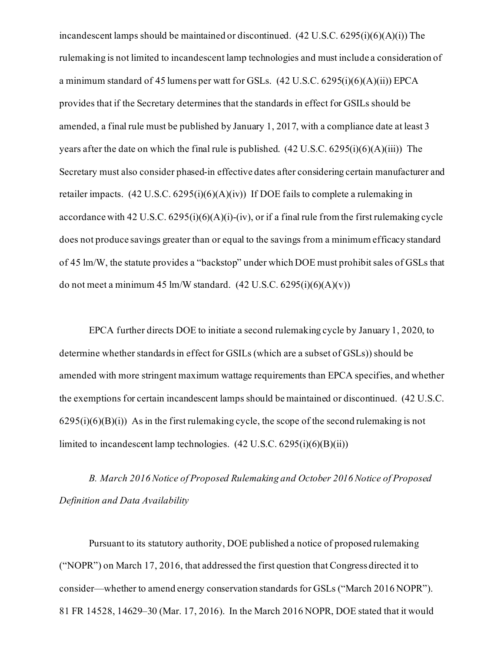incandescent lamps should be maintained or discontinued. (42 U.S.C. 6295(i)(6)(A)(i)) The rulemaking is not limited to incandescent lamp technologies and must include a consideration of a minimum standard of 45 lumens per watt for GSLs. (42 U.S.C. 6295(i)(6)(A)(ii)) EPCA provides that if the Secretary determines that the standards in effect for GSILs should be amended, a final rule must be published by January 1, 2017, with a compliance date at least 3 years after the date on which the final rule is published.  $(42 U.S.C. 6295(i)(6)(A)(iii))$  The Secretary must also consider phased-in effective dates after considering certain manufacturer and retailer impacts.  $(42 \text{ U.S.C. } 6295 \text{ (i)})(6)(\text{A})(\text{iv)})$  If DOE fails to complete a rulemaking in accordance with 42 U.S.C.  $6295(i)(6)(A)(i)-(iv)$ , or if a final rule from the first rulemaking cycle does not produce savings greater than or equal to the savings from a minimum efficacy standard of 45 lm/W, the statute provides a "backstop" under which DOE must prohibit sales of GSLs that do not meet a minimum 45 lm/W standard.  $(42 \text{ U.S.C. } 6295(i)(6)(A)(v))$ 

EPCA further directs DOE to initiate a second rulemaking cycle by January 1, 2020, to determine whether standards in effect for GSILs (which are a subset of GSLs)) should be amended with more stringent maximum wattage requirements than EPCA specifies, and whether the exemptions for certain incandescent lamps should be maintained or discontinued. (42 U.S.C.  $6295(i)(6)(B)(i)$ ) As in the first rulemaking cycle, the scope of the second rulemaking is not limited to incandescent lamp technologies.  $(42 \text{ U.S.C. } 6295\text{ (i)}\text{ (6)}\text{ (B)}\text{ (ii)})$ 

*B. March 2016 Notice of Proposed Rulemaking and October 2016 Notice of Proposed Definition and Data Availability*

Pursuant to its statutory authority, DOE published a notice of proposed rulemaking ("NOPR") on March 17, 2016, that addressed the first question that Congress directed it to consider—whether to amend energy conservation standards for GSLs ("March 2016 NOPR"). 81 FR 14528, 14629–30 (Mar. 17, 2016). In the March 2016 NOPR, DOE stated that it would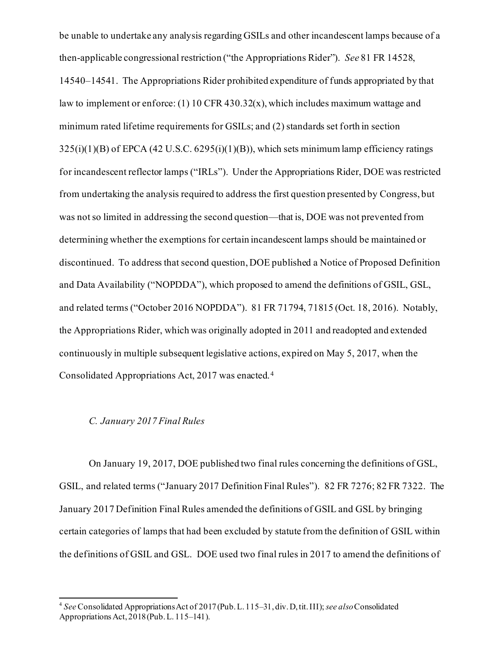be unable to undertake any analysis regarding GSILs and other incandescent lamps because of a then-applicable congressional restriction ("the Appropriations Rider"). *See* 81 FR 14528, 14540–14541. The Appropriations Rider prohibited expenditure of funds appropriated by that law to implement or enforce: (1) 10 CFR 430.32(x), which includes maximum wattage and minimum rated lifetime requirements for GSILs; and (2) standards set forth in section  $325(i)(1)(B)$  of EPCA (42 U.S.C. 6295(i)(1)(B)), which sets minimum lamp efficiency ratings for incandescent reflector lamps ("IRLs"). Under the Appropriations Rider, DOE was restricted from undertaking the analysis required to address the first question presented by Congress, but was not so limited in addressing the second question—that is, DOE was not prevented from determining whether the exemptions for certain incandescent lamps should be maintained or discontinued. To address that second question, DOE published a Notice of Proposed Definition and Data Availability ("NOPDDA"), which proposed to amend the definitions of GSIL, GSL, and related terms ("October 2016 NOPDDA"). 81 FR 71794, 71815 (Oct. 18, 2016). Notably, the Appropriations Rider, which was originally adopted in 2011 and readopted and extended continuously in multiple subsequent legislative actions, expired on May 5, 2017, when the Consolidated Appropriations Act, 2017 was enacted. [4](#page-6-0) 

# *C. January 2017 Final Rules*

On January 19, 2017, DOE published two final rules concerning the definitions of GSL, GSIL, and related terms ("January 2017 Definition Final Rules"). 82 FR 7276; 82 FR 7322. The January 2017 Definition Final Rules amended the definitions of GSIL and GSL by bringing certain categories of lamps that had been excluded by statute from the definition of GSIL within the definitions of GSIL and GSL. DOE used two final rules in 2017 to amend the definitions of

<span id="page-6-0"></span><sup>4</sup> *See* Consolidated Appropriations Act of 2017 (Pub.L. 115–31, div. D, tit. III); *see also*Consolidated Appropriations Act, 2018 (Pub.L. 115–141).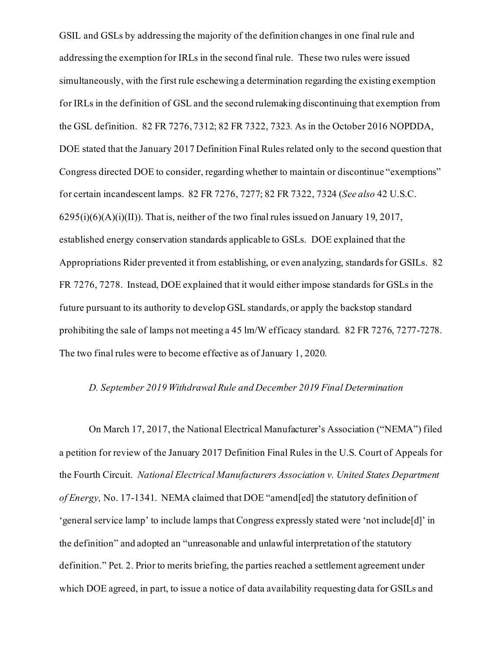GSIL and GSLs by addressing the majority of the definition changes in one final rule and addressing the exemption for IRLs in the second final rule. These two rules were issued simultaneously, with the first rule eschewing a determination regarding the existing exemption for IRLs in the definition of GSL and the second rulemaking discontinuing that exemption from the GSL definition. 82 FR 7276, 7312; 82 FR 7322, 7323*.* As in the October 2016 NOPDDA, DOE stated that the January 2017 Definition Final Rules related only to the second question that Congress directed DOE to consider, regarding whether to maintain or discontinue "exemptions" for certain incandescent lamps. 82 FR 7276, 7277; 82 FR 7322, 7324 (*See also* 42 U.S.C.  $6295(i)(6)(A)(i)(II)$ ). That is, neither of the two final rules issued on January 19, 2017, established energy conservation standards applicable to GSLs. DOE explained that the Appropriations Rider prevented it from establishing, or even analyzing, standards for GSILs. 82 FR 7276, 7278. Instead, DOE explained that it would either impose standards for GSLs in the future pursuant to its authority to develop GSL standards, or apply the backstop standard prohibiting the sale of lamps not meeting a 45 lm/W efficacy standard. 82 FR 7276, 7277-7278. The two final rules were to become effective as of January 1, 2020.

#### *D. September 2019 Withdrawal Rule and December 2019 Final Determination*

On March 17, 2017, the National Electrical Manufacturer's Association ("NEMA") filed a petition for review of the January 2017 Definition Final Rules in the U.S. Court of Appeals for the Fourth Circuit. *National Electrical Manufacturers Association v. United States Department of Energy,* No. 17-1341. NEMA claimed that DOE "amend[ed] the statutory definition of 'general service lamp' to include lamps that Congress expressly stated were 'not include[d]' in the definition" and adopted an "unreasonable and unlawful interpretation of the statutory definition." Pet. 2. Prior to merits briefing, the parties reached a settlement agreement under which DOE agreed, in part, to issue a notice of data availability requesting data for GSILs and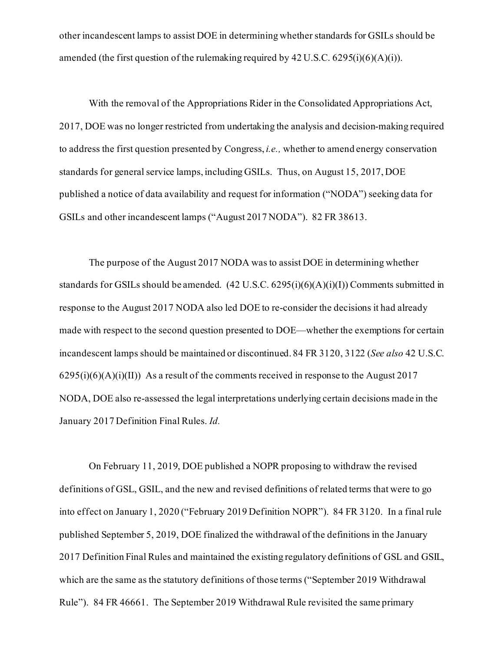other incandescent lamps to assist DOE in determining whether standards for GSILs should be amended (the first question of the rulemaking required by  $42 \text{ U.S.C. } 6295 \text{ (i)}(6)(\text{A})(\text{i)}$ ).

With the removal of the Appropriations Rider in the Consolidated Appropriations Act, 2017, DOE was no longer restricted from undertaking the analysis and decision-making required to address the first question presented by Congress, *i.e.,* whether to amend energy conservation standards for general service lamps, including GSILs. Thus, on August 15, 2017, DOE published a notice of data availability and request for information ("NODA") seeking data for GSILs and other incandescent lamps ("August 2017 NODA"). 82 FR 38613.

The purpose of the August 2017 NODA was to assist DOE in determining whether standards for GSILs should be amended.  $(42 \text{ U.S.C. } 6295(i)(6)(\text{A})(i)(\text{I}))$  Comments submitted in response to the August 2017 NODA also led DOE to re-consider the decisions it had already made with respect to the second question presented to DOE—whether the exemptions for certain incandescent lamps should be maintained or discontinued. 84 FR 3120, 3122 (*See also* 42 U.S.C.  $6295(i)(6)(A)(i)(II)$  As a result of the comments received in response to the August 2017 NODA, DOE also re-assessed the legal interpretations underlying certain decisions made in the January 2017 Definition Final Rules. *Id.*

On February 11, 2019, DOE published a NOPR proposing to withdraw the revised definitions of GSL, GSIL, and the new and revised definitions of related terms that were to go into effect on January 1, 2020 ("February 2019 Definition NOPR"). 84 FR 3120. In a final rule published September 5, 2019, DOE finalized the withdrawal of the definitions in the January 2017 Definition Final Rules and maintained the existing regulatory definitions of GSL and GSIL, which are the same as the statutory definitions of those terms ("September 2019 Withdrawal Rule"). 84 FR 46661. The September 2019 Withdrawal Rule revisited the same primary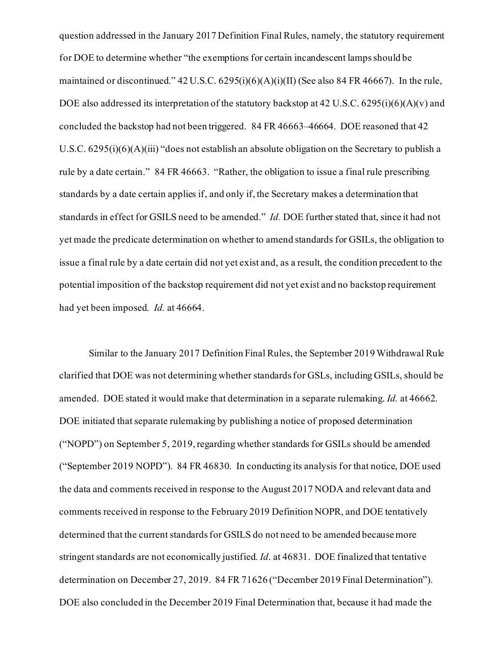question addressed in the January 2017 Definition Final Rules, namely, the statutory requirement for DOE to determine whether "the exemptions for certain incandescent lamps should be maintained or discontinued." 42 U.S.C. 6295(i)(6)(A)(i)(II) (See also 84 FR 46667). In the rule, DOE also addressed its interpretation of the statutory backstop at 42 U.S.C. 6295(i)(6)(A)(v) and concluded the backstop had not been triggered. 84 FR 46663–46664. DOE reasoned that 42 U.S.C. 6295(i)(6)(A)(iii) "does not establish an absolute obligation on the Secretary to publish a rule by a date certain." 84 FR 46663. "Rather, the obligation to issue a final rule prescribing standards by a date certain applies if, and only if, the Secretary makes a determination that standards in effect for GSILS need to be amended." *Id.* DOE further stated that, since it had not yet made the predicate determination on whether to amend standards for GSILs, the obligation to issue a final rule by a date certain did not yet exist and, as a result, the condition precedent to the potential imposition of the backstop requirement did not yet exist and no backstop requirement had yet been imposed. *Id.* at 46664.

Similar to the January 2017 Definition Final Rules, the September 2019 Withdrawal Rule clarified that DOE was not determining whether standards for GSLs, including GSILs, should be amended. DOE stated it would make that determination in a separate rulemaking. *Id.* at 46662. DOE initiated that separate rulemaking by publishing a notice of proposed determination ("NOPD") on September 5, 2019,regarding whether standards for GSILs should be amended ("September 2019 NOPD"). 84 FR 46830. In conducting its analysis for that notice, DOE used the data and comments received in response to the August 2017 NODA and relevant data and comments received in response to the February 2019 Definition NOPR, and DOE tentatively determined that the current standards for GSILS do not need to be amended because more stringent standards are not economically justified. *Id*. at 46831. DOE finalized that tentative determination on December 27, 2019. 84 FR 71626 ("December 2019 Final Determination"). DOE also concluded in the December 2019 Final Determination that, because it had made the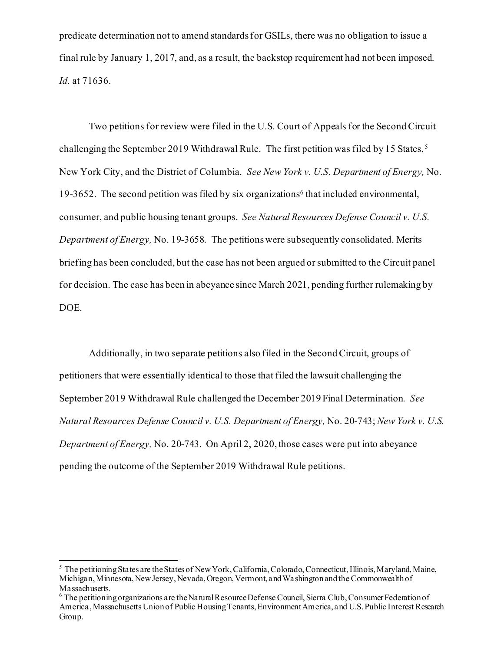predicate determination not to amend standards for GSILs, there was no obligation to issue a final rule by January 1, 2017, and, as a result, the backstop requirement had not been imposed. *Id.* at 71636.

Two petitions for review were filed in the U.S. Court of Appeals for the Second Circuit challenging the September 2019 Withdrawal Rule. The first petition was filed by 1[5](#page-10-0) States,<sup>5</sup> New York City, and the District of Columbia. *See New York v. U.S. Department of Energy,* No. 19-3[6](#page-10-1)52. The second petition was filed by six organizations<sup>6</sup> that included environmental, consumer, and public housing tenant groups. *See Natural Resources Defense Council v. U.S. Department of Energy,* No. 19-3658. The petitions were subsequently consolidated. Merits briefing has been concluded, but the case has not been argued or submitted to the Circuit panel for decision. The case has been in abeyance since March 2021, pending further rulemaking by DOE.

Additionally, in two separate petitions also filed in the Second Circuit, groups of petitioners that were essentially identical to those that filed the lawsuit challenging the September 2019 Withdrawal Rule challenged the December 2019 Final Determination. *See Natural Resources Defense Council v. U.S. Department of Energy,* No. 20-743; *New York v. U.S. Department of Energy,* No. 20-743. On April 2, 2020, those cases were put into abeyance pending the outcome of the September 2019 Withdrawal Rule petitions.

<span id="page-10-0"></span><sup>5</sup> The petitioning States are the States of New York, California, Colorado, Connecticut, Illinois, Maryland, Maine, Michigan, Minnesota, New Jersey, Nevada, Oregon, Vermont, and Washington and the Commonwealth of

<span id="page-10-1"></span> $6$  The petitioning organizations are the Natural Resource Defense Council, Sierra Club, Consumer Federation of America, Massachusetts Union of Public Housing Tenants, Environment America, and U.S. Public Interest Research Group.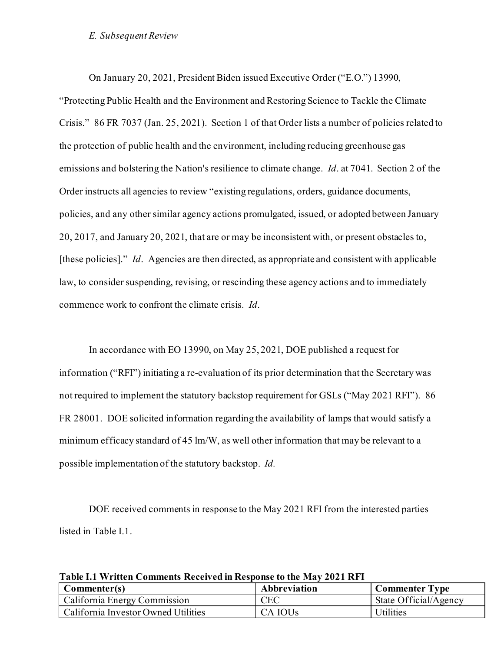### *E. Subsequent Review*

On January 20, 2021, President Biden issued Executive Order ("E.O.") 13990,

"Protecting Public Health and the Environment and Restoring Science to Tackle the Climate Crisis." 86 FR 7037 (Jan. 25, 2021). Section 1 of that Order lists a number of policies related to the protection of public health and the environment, including reducing greenhouse gas emissions and bolstering the Nation's resilience to climate change. *Id*. at 7041. Section 2 of the Order instructs all agencies to review "existing regulations, orders, guidance documents, policies, and any other similar agency actions promulgated, issued, or adopted between January 20, 2017, and January 20, 2021, that are or may be inconsistent with, or present obstacles to, [these policies]." *Id*. Agencies are then directed, as appropriate and consistent with applicable law, to consider suspending, revising, or rescinding these agency actions and to immediately commence work to confront the climate crisis. *Id*.

In accordance with EO 13990, on May 25, 2021, DOE published a request for information ("RFI") initiating a re-evaluation of its prior determination that the Secretary was not required to implement the statutory backstop requirement for GSLs ("May 2021 RFI"). 86 FR 28001. DOE solicited information regarding the availability of lamps that would satisfy a minimum efficacy standard of 45 lm/W, as well other information that may be relevant to a possible implementation of the statutory backstop. *Id.* 

DOE received comments in response to the May 2021 RFI from the interested parties listed in Table I.1.

| Commenter(s)                        | Abbreviation        | <b>Commenter Type</b> |
|-------------------------------------|---------------------|-----------------------|
| California Energy Commission        | <b>CEC</b>          | State Official/Agency |
| California Investor Owned Utilities | CA IOU <sub>s</sub> | <b>Utilities</b>      |

**Table I.1 Written Comments Received in Response to the May 2021 RFI**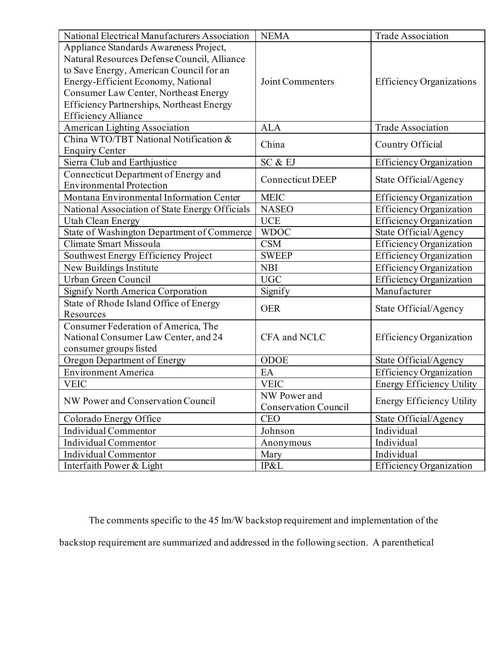| National Electrical Manufacturers Association  | <b>NEMA</b><br><b>Trade Association</b> |                                  |  |
|------------------------------------------------|-----------------------------------------|----------------------------------|--|
| Appliance Standards Awareness Project,         |                                         |                                  |  |
| Natural Resources Defense Council, Alliance    |                                         |                                  |  |
| to Save Energy, American Council for an        |                                         |                                  |  |
| Energy-Efficient Economy, National             | Joint Commenters                        | <b>Efficiency Organizations</b>  |  |
| Consumer Law Center, Northeast Energy          |                                         |                                  |  |
| Efficiency Partnerships, Northeast Energy      |                                         |                                  |  |
| <b>Efficiency Alliance</b>                     |                                         |                                  |  |
| <b>American Lighting Association</b>           | <b>ALA</b>                              | <b>Trade Association</b>         |  |
| China WTO/TBT National Notification &          | China                                   | Country Official                 |  |
| <b>Enquiry Center</b>                          |                                         |                                  |  |
| Sierra Club and Earthjustice                   | SC & EJ                                 | <b>Efficiency Organization</b>   |  |
| Connecticut Department of Energy and           | <b>Connecticut DEEP</b>                 |                                  |  |
| <b>Environmental Protection</b>                |                                         | State Official/Agency            |  |
| Montana Environmental Information Center       | <b>MEIC</b>                             | <b>Efficiency Organization</b>   |  |
| National Association of State Energy Officials | <b>NASEO</b>                            | <b>Efficiency Organization</b>   |  |
| <b>Utah Clean Energy</b>                       | <b>UCE</b>                              | <b>Efficiency Organization</b>   |  |
| State of Washington Department of Commerce     | <b>WDOC</b>                             | State Official/Agency            |  |
| Climate Smart Missoula                         | <b>CSM</b>                              | Efficiency Organization          |  |
| Southwest Energy Efficiency Project            | <b>SWEEP</b>                            | <b>Efficiency Organization</b>   |  |
| New Buildings Institute                        | <b>NBI</b>                              | <b>Efficiency Organization</b>   |  |
| Urban Green Council                            | <b>UGC</b>                              | <b>Efficiency Organization</b>   |  |
| <b>Signify North America Corporation</b>       | Signify                                 | Manufacturer                     |  |
| State of Rhode Island Office of Energy         | <b>OER</b>                              |                                  |  |
| Resources                                      |                                         | State Official/Agency            |  |
| Consumer Federation of America, The            |                                         |                                  |  |
| National Consumer Law Center, and 24           | CFA and NCLC                            | <b>Efficiency Organization</b>   |  |
| consumer groups listed                         |                                         |                                  |  |
| <b>Oregon Department of Energy</b>             | ODOE                                    | State Official/Agency            |  |
| <b>Environment America</b>                     | EA                                      | <b>Efficiency Organization</b>   |  |
| <b>VEIC</b>                                    | <b>VEIC</b>                             | <b>Energy Efficiency Utility</b> |  |
| NW Power and Conservation Council              | NW Power and                            | <b>Energy Efficiency Utility</b> |  |
|                                                | <b>Conservation Council</b>             |                                  |  |
| Colorado Energy Office                         | State Official/Agency<br><b>CEO</b>     |                                  |  |
| Individual Commentor                           | Johnson                                 | Individual                       |  |
| Individual Commentor                           | Anonymous                               | Individual                       |  |
| Individual Commentor                           | Mary                                    | Individual                       |  |
| Interfaith Power & Light                       | IP&L                                    | <b>Efficiency Organization</b>   |  |

The comments specific to the 45 lm/W backstop requirement and implementation of the backstop requirement are summarized and addressed in the following section. A parenthetical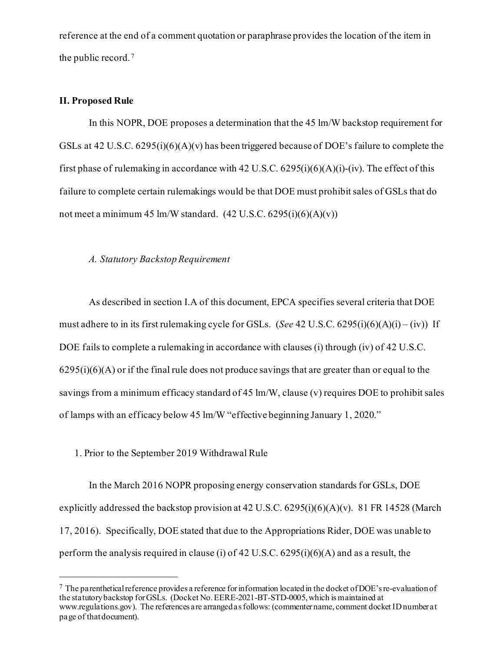reference at the end of a comment quotation or paraphrase provides the location of the item in the public record. [7](#page-13-0)

# **II. Proposed Rule**

In this NOPR, DOE proposes a determination that the 45 lm/W backstop requirement for GSLs at 42 U.S.C. 6295(i)(6)(A)(v) has been triggered because of DOE's failure to complete the first phase of rulemaking in accordance with 42 U.S.C.  $6295(i)(6)(A)(i)$ -(iv). The effect of this failure to complete certain rulemakings would be that DOE must prohibit sales of GSLs that do not meet a minimum 45 lm/W standard.  $(42 \text{ U.S.C. } 6295(i)(6)(\text{A})(v))$ 

### *A. Statutory Backstop Requirement*

As described in section I.A of this document, EPCA specifies several criteria that DOE must adhere to in its first rulemaking cycle for GSLs. (*See* 42 U.S.C. 6295(i)(6)(A)(i) – (iv)) If DOE fails to complete a rulemaking in accordance with clauses (i) through (iv) of 42 U.S.C.  $6295(i)(6)(A)$  or if the final rule does not produce savings that are greater than or equal to the savings from a minimum efficacy standard of 45 lm/W, clause (v) requires DOE to prohibit sales of lamps with an efficacy below 45 lm/W "effective beginning January 1, 2020."

1. Prior to the September 2019 Withdrawal Rule

In the March 2016 NOPR proposing energy conservation standards for GSLs, DOE explicitly addressed the backstop provision at 42 U.S.C.  $6295(i)(6)(A)(v)$ . 81 FR 14528 (March 17, 2016). Specifically, DOE stated that due to the Appropriations Rider, DOE was unable to perform the analysis required in clause (i) of 42 U.S.C. 6295(i)(6)(A) and as a result, the

<span id="page-13-0"></span> $7$  The parenthetical reference provides a reference for information located in the docket of DOE's re-evaluation of the statutory backstop for GSLs. (Docket No. EERE-2021-BT-STD-0005, which is maintained at www.regulations.gov). The references are arranged as follows: (commenter name, comment docket ID number at page of that document).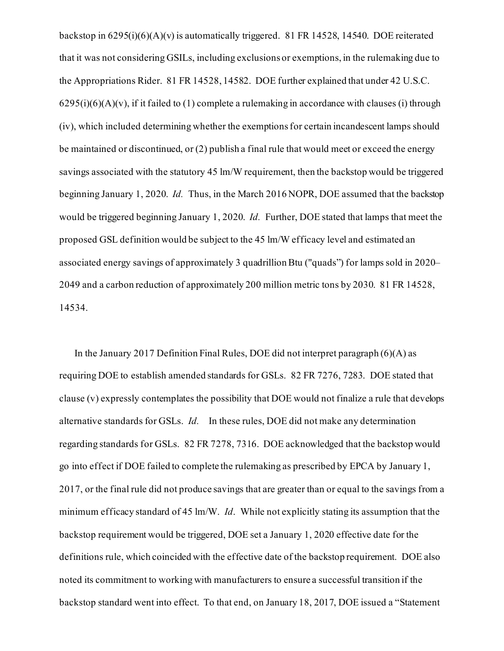backstop in 6295(i)(6)(A)(v) is automatically triggered. 81 FR 14528, 14540. DOE reiterated that it was not considering GSILs, including exclusions or exemptions, in the rulemaking due to the Appropriations Rider. 81 FR 14528, 14582. DOE further explained that under 42 U.S.C.  $6295(i)(6)(A)(v)$ , if it failed to (1) complete a rulemaking in accordance with clauses (i) through (iv), which included determining whether the exemptions for certain incandescent lamps should be maintained or discontinued, or (2) publish a final rule that would meet or exceed the energy savings associated with the statutory 45 lm/W requirement, then the backstop would be triggered beginning January 1, 2020. *Id.* Thus, in the March 2016 NOPR, DOE assumed that the backstop would be triggered beginning January 1, 2020. *Id.* Further, DOE stated that lamps that meet the proposed GSL definition would be subject to the 45 lm/W efficacy level and estimated an associated energy savings of approximately 3 quadrillion Btu ("quads") for lamps sold in 2020– 2049 and a carbon reduction of approximately 200 million metric tons by 2030. 81 FR 14528, 14534.

In the January 2017 Definition Final Rules, DOE did not interpret paragraph  $(6)(A)$  as requiring DOE to establish amended standards for GSLs. 82 FR 7276, 7283. DOE stated that clause (v) expressly contemplates the possibility that DOE would not finalize a rule that develops alternative standards for GSLs. *Id.* In these rules, DOE did not make any determination regarding standards for GSLs. 82 FR 7278, 7316. DOE acknowledged that the backstop would go into effect if DOE failed to complete the rulemaking as prescribed by EPCA by January 1, 2017, or the final rule did not produce savings that are greater than or equal to the savings from a minimum efficacy standard of 45 lm/W. *Id*. While not explicitly stating its assumption that the backstop requirement would be triggered, DOE set a January 1, 2020 effective date for the definitions rule, which coincided with the effective date of the backstop requirement. DOE also noted its commitment to working with manufacturers to ensure a successful transition if the backstop standard went into effect. To that end, on January 18, 2017, DOE issued a "Statement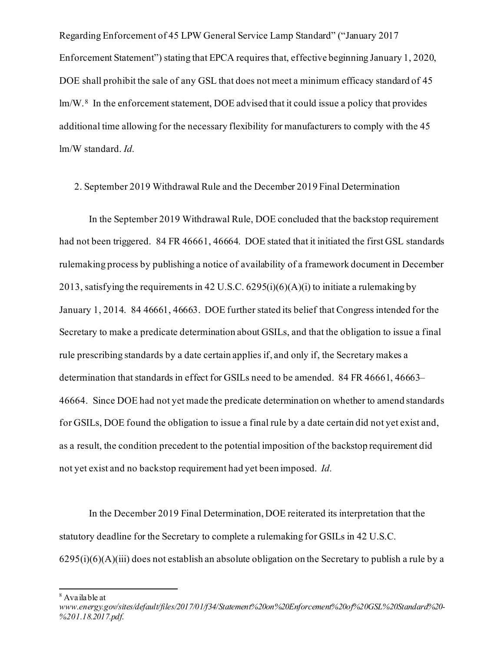Regarding Enforcement of 45 LPW General Service Lamp Standard" ("January 2017 Enforcement Statement") stating that EPCA requires that, effective beginning January 1, 2020, DOE shall prohibit the sale of any GSL that does not meet a minimum efficacy standard of 45 lm/W.[8](#page-15-0) In the enforcement statement, DOE advised that it could issue a policy that provides additional time allowing for the necessary flexibility for manufacturers to comply with the 45 lm/W standard. *Id.*

### 2. September 2019 Withdrawal Rule and the December 2019 Final Determination

In the September 2019 Withdrawal Rule, DOE concluded that the backstop requirement had not been triggered. 84 FR 46661, 46664. DOE stated that it initiated the first GSL standards rulemaking process by publishing a notice of availability of a framework document in December 2013, satisfying the requirements in 42 U.S.C.  $6295(i)(6)(A)(i)$  to initiate a rulemaking by January 1, 2014. 84 46661, 46663. DOE further stated its belief that Congress intended for the Secretary to make a predicate determination about GSILs, and that the obligation to issue a final rule prescribing standards by a date certain applies if, and only if, the Secretary makes a determination that standards in effect for GSILs need to be amended. 84 FR 46661, 46663– 46664. Since DOE had not yet made the predicate determination on whether to amend standards for GSILs, DOE found the obligation to issue a final rule by a date certain did not yet exist and, as a result, the condition precedent to the potential imposition of the backstop requirement did not yet exist and no backstop requirement had yet been imposed. *Id.* 

In the December 2019 Final Determination, DOE reiterated its interpretation that the statutory deadline for the Secretary to complete a rulemaking for GSILs in 42 U.S.C.  $6295(i)(6)(A)(iii)$  does not establish an absolute obligation on the Secretary to publish a rule by a

<sup>8</sup> Available at

<span id="page-15-0"></span>*www.energy.gov/sites/default/files/2017/01/f34/Statement%20on%20Enforcement%20of%20GSL%20Standard%20- %201.18.2017.pdf*.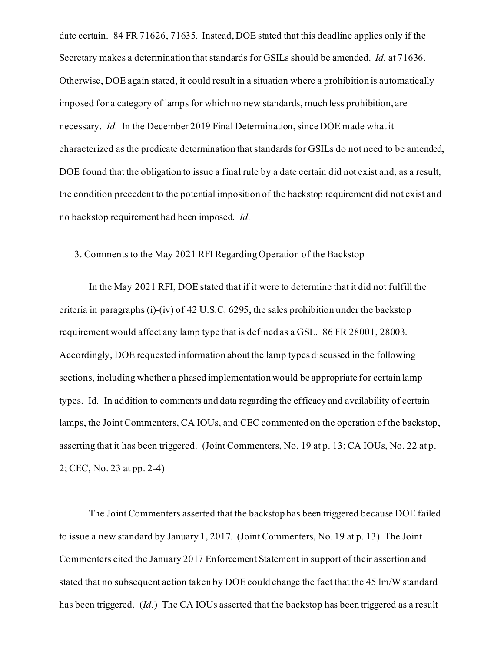date certain. 84 FR 71626, 71635. Instead, DOE stated that this deadline applies only if the Secretary makes a determination that standards for GSILs should be amended. *Id.* at 71636. Otherwise, DOE again stated, it could result in a situation where a prohibition is automatically imposed for a category of lamps for which no new standards, much less prohibition, are necessary. *Id.* In the December 2019 Final Determination, since DOE made what it characterized as the predicate determination that standards for GSILs do not need to be amended, DOE found that the obligation to issue a final rule by a date certain did not exist and, as a result, the condition precedent to the potential imposition of the backstop requirement did not exist and no backstop requirement had been imposed. *Id.* 

## 3. Comments to the May 2021 RFI Regarding Operation of the Backstop

In the May 2021 RFI, DOE stated that if it were to determine that it did not fulfill the criteria in paragraphs (i)-(iv) of 42 U.S.C. 6295, the sales prohibition under the backstop requirement would affect any lamp type that is defined as a GSL. 86 FR 28001, 28003. Accordingly, DOE requested information about the lamp types discussed in the following sections, including whether a phased implementation would be appropriate for certain lamp types. Id*.* In addition to comments and data regarding the efficacy and availability of certain lamps, the Joint Commenters, CA IOUs, and CEC commented on the operation of the backstop, asserting that it has been triggered. (Joint Commenters, No. 19 at p. 13; CA IOUs, No. 22 at p. 2; CEC, No. 23 at pp. 2-4)

The Joint Commenters asserted that the backstop has been triggered because DOE failed to issue a new standard by January 1, 2017. (Joint Commenters, No. 19 at p. 13) The Joint Commenters cited the January 2017 Enforcement Statement in support of their assertion and stated that no subsequent action taken by DOE could change the fact that the 45 lm/W standard has been triggered. (*Id.*) The CA IOUs asserted that the backstop has been triggered as a result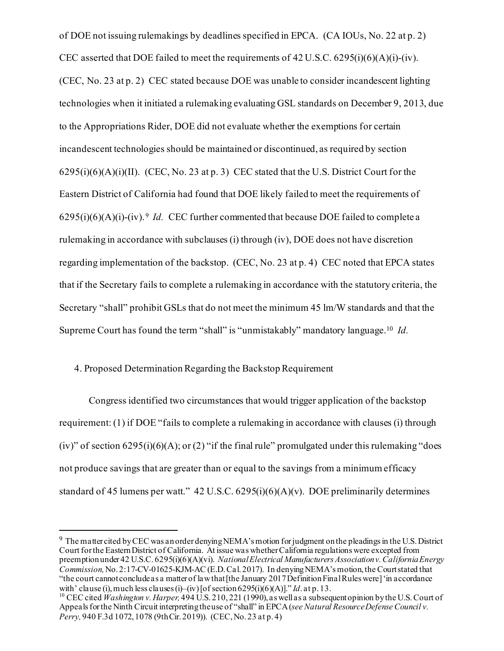of DOE not issuing rulemakings by deadlines specified in EPCA. (CA IOUs, No. 22 at p. 2) CEC asserted that DOE failed to meet the requirements of  $42 \text{ U.S.C. } 6295 \text{ (i)} \text{ (6)} \text{ (A)} \text{ (i)} \text{-(iv)}.$ (CEC, No. 23 at p. 2) CEC stated because DOE was unable to consider incandescent lighting technologies when it initiated a rulemaking evaluating GSL standards on December 9, 2013, due to the Appropriations Rider, DOE did not evaluate whether the exemptions for certain incandescent technologies should be maintained or discontinued, as required by section  $6295(i)(6)(A)(i)(II)$ . (CEC, No. 23 at p. 3) CEC stated that the U.S. District Court for the Eastern District of California had found that DOE likely failed to meet the requirements of  $6295(i)(6)(A)(i)-(iv).$ <sup>9</sup> *Id.* CEC further commented that because DOE failed to complete a rulemaking in accordance with subclauses (i) through (iv), DOE does not have discretion regarding implementation of the backstop. (CEC, No. 23 at p. 4) CEC noted that EPCA states that if the Secretary fails to complete a rulemaking in accordance with the statutory criteria, the Secretary "shall" prohibit GSLs that do not meet the minimum 45 lm/W standards and that the Supreme Court has found the term "shall" is "unmistakably" mandatory language.[10](#page-17-1) *Id.*

# 4. Proposed Determination Regarding the Backstop Requirement

Congress identified two circumstances that would trigger application of the backstop requirement: (1) if DOE "fails to complete a rulemaking in accordance with clauses (i) through (iv)" of section  $6295(i)(6)(A)$ ; or (2) "if the final rule" promulgated under this rulemaking "does not produce savings that are greater than or equal to the savings from a minimum efficacy standard of 45 lumens per watt." 42 U.S.C.  $6295(i)(6)(A)(v)$ . DOE preliminarily determines

<span id="page-17-0"></span><sup>9</sup> The matter cited by CEC was an order denying NEMA'smotion for judgment on the pleadingsin the U.S. District Court for the Eastern District of California. At issue was whether California regulations were excepted from preemption under 42 U.S.C. 6295(i)(6)(A)(vi). *National Electrical Manufacturers Associationv. California Energy Commission,* No. 2:17-CV-01625-KJM-AC (E.D. Cal. 2017). In denying NEMA's motion, the Court stated that "the court cannot conclude as a matter of law that [the January 2017 Definition Final Rules were] 'in accordance with' clause (i), much less clauses (i)–(iv) [of section 6295(i)(6)(A)]." Id. at p. 13.

<span id="page-17-1"></span><sup>&</sup>lt;sup>10</sup> CEC cited *Washington v. Harper*, 494 U.S. 210, 221 (1990), as well as a subsequent opinion by the U.S. Court of Appeals for the Ninth Circuit interpreting the use of "shall" in EPCA(*see Natural Resource Defense Council v. Perry,* 940 F.3d 1072, 1078 (9thCir. 2019)). (CEC, No. 23 at p. 4)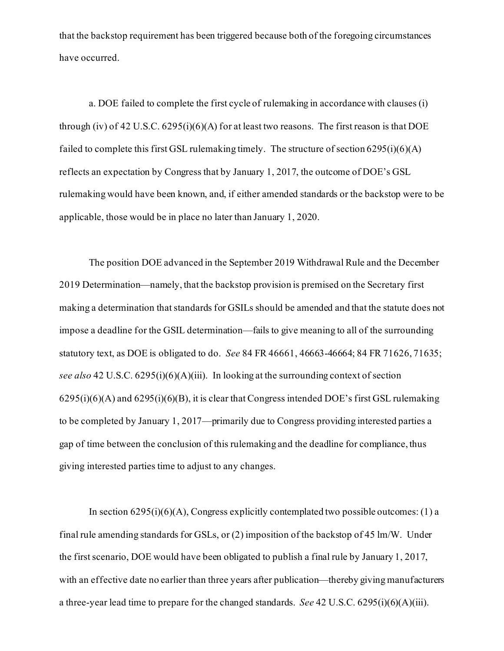that the backstop requirement has been triggered because both of the foregoing circumstances have occurred.

a. DOE failed to complete the first cycle of rulemaking in accordance with clauses (i) through (iv) of 42 U.S.C. 6295(i)(6)(A) for at least two reasons. The first reason is that DOE failed to complete this first GSL rulemaking timely. The structure of section  $6295(i)(6)(A)$ reflects an expectation by Congress that by January 1, 2017, the outcome of DOE's GSL rulemaking would have been known, and, if either amended standards or the backstop were to be applicable, those would be in place no later than January 1, 2020.

The position DOE advanced in the September 2019 Withdrawal Rule and the December 2019 Determination—namely, that the backstop provision is premised on the Secretary first making a determination that standards for GSILs should be amended and that the statute does not impose a deadline for the GSIL determination—fails to give meaning to all of the surrounding statutory text, as DOE is obligated to do. *See* 84 FR 46661, 46663-46664; 84 FR 71626, 71635; *see also* 42 U.S.C. 6295(i)(6)(A)(iii). In looking at the surrounding context of section 6295(i)(6)(A) and 6295(i)(6)(B), it is clear that Congress intended DOE's first GSL rulemaking to be completed by January 1, 2017—primarily due to Congress providing interested parties a gap of time between the conclusion of this rulemaking and the deadline for compliance, thus giving interested parties time to adjust to any changes.

In section  $6295(i)(6)(A)$ , Congress explicitly contemplated two possible outcomes: (1) a final rule amending standards for GSLs, or (2) imposition of the backstop of 45 lm/W. Under the first scenario, DOE would have been obligated to publish a final rule by January 1, 2017, with an effective date no earlier than three years after publication—thereby giving manufacturers a three-year lead time to prepare for the changed standards. *See* 42 U.S.C. 6295(i)(6)(A)(iii).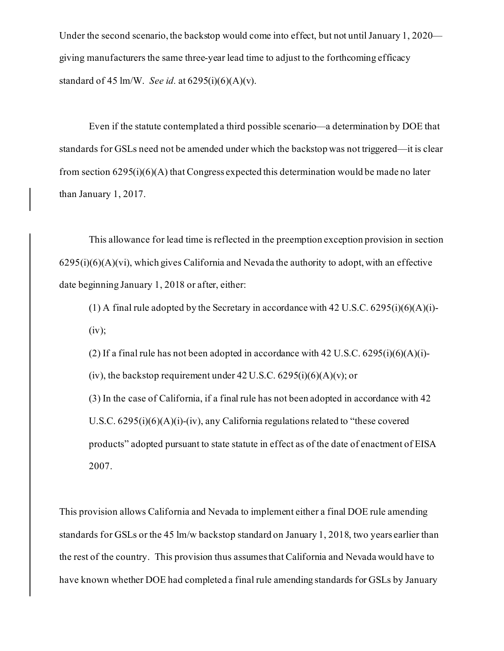Under the second scenario, the backstop would come into effect, but not until January 1, 2020 giving manufacturers the same three-year lead time to adjust to the forthcoming efficacy standard of 45 lm/W. *See id.* at 6295(i)(6)(A)(v).

Even if the statute contemplated a third possible scenario—a determination by DOE that standards for GSLs need not be amended under which the backstop was not triggered—it is clear from section  $6295(i)(6)(A)$  that Congress expected this determination would be made no later than January 1, 2017.

This allowance for lead time is reflected in the preemption exception provision in section  $6295(i)(6)(A)(vi)$ , which gives California and Nevada the authority to adopt, with an effective date beginning January 1, 2018 or after, either:

(1) A final rule adopted by the Secretary in accordance with 42 U.S.C.  $6295(i)(6)(A)(i)$ - $(iv);$ 

(2) If a final rule has not been adopted in accordance with 42 U.S.C.  $6295(i)(6)(A)(i)$ -(iv), the backstop requirement under  $42 \text{ U.S.C. } 6295 \text{ (i)}(6)(\text{A)}(\text{v)}$ ; or

(3) In the case of California, if a final rule has not been adopted in accordance with 42 U.S.C.  $6295(i)(6)(A)(i)-(iv)$ , any California regulations related to "these covered" products" adopted pursuant to state statute in effect as of the date of enactment of EISA 2007.

This provision allows California and Nevada to implement either a final DOE rule amending standards for GSLs or the 45 lm/w backstop standard on January 1, 2018, two years earlier than the rest of the country. This provision thus assumes that California and Nevada would have to have known whether DOE had completed a final rule amending standards for GSLs by January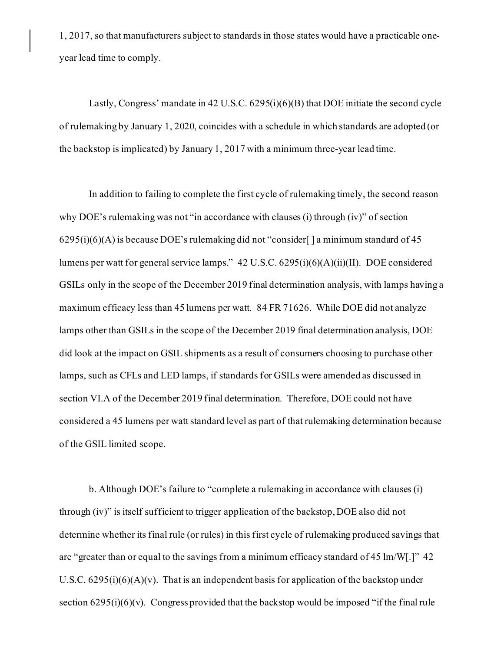1, 2017, so that manufacturers subject to standards in those states would have a practicable oneyear lead time to comply.

Lastly, Congress' mandate in 42 U.S.C. 6295(i)(6)(B) that DOE initiate the second cycle of rulemaking by January 1, 2020, coincides with a schedule in which standards are adopted (or the backstop is implicated) by January 1, 2017 with a minimum three-year lead time.

In addition to failing to complete the first cycle of rulemaking timely, the second reason why DOE's rulemaking was not "in accordance with clauses (i) through (iv)" of section  $6295(i)(6)(A)$  is because DOE's rulemaking did not "consider[] a minimum standard of 45 lumens per watt for general service lamps." 42 U.S.C. 6295(i)(6)(A)(ii)(II). DOE considered GSILs only in the scope of the December 2019 final determination analysis, with lamps having a maximum efficacy less than 45 lumens per watt. 84 FR 71626. While DOE did not analyze lamps other than GSILs in the scope of the December 2019 final determination analysis, DOE did look at the impact on GSIL shipments as a result of consumers choosing to purchase other lamps, such as CFLs and LED lamps, if standards for GSILs were amended as discussed in section VI.A of the December 2019 final determination. Therefore, DOE could not have considered a 45 lumens per watt standard level as part of that rulemaking determination because of the GSIL limited scope.

b. Although DOE's failure to "complete a rulemaking in accordance with clauses (i) through (iv)" is itself sufficient to trigger application of the backstop, DOE also did not determine whether its final rule (or rules) in this first cycle of rulemaking produced savings that are "greater than or equal to the savings from a minimum efficacy standard of 45 lm/W[.]" 42 U.S.C.  $6295(i)(6)(A)(v)$ . That is an independent basis for application of the backstop under section  $6295(i)(6)(v)$ . Congress provided that the backstop would be imposed "if the final rule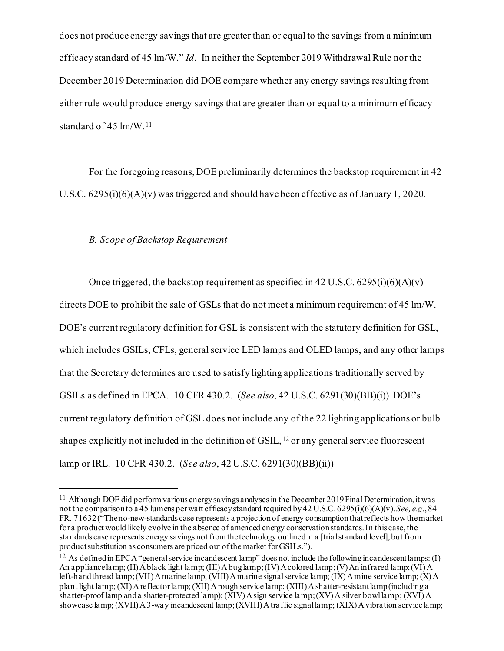does not produce energy savings that are greater than or equal to the savings from a minimum efficacy standard of 45 lm/W." *Id*. In neither the September 2019 Withdrawal Rule nor the December 2019 Determination did DOE compare whether any energy savings resulting from either rule would produce energy savings that are greater than or equal to a minimum efficacy standard of 45 lm/W. [11](#page-21-0)

For the foregoing reasons, DOE preliminarily determines the backstop requirement in 42 U.S.C. 6295(i)(6)(A)(v) was triggered and should have been effective as of January 1, 2020.

# *B. Scope of Backstop Requirement*

Once triggered, the backstop requirement as specified in 42 U.S.C.  $6295(i)(6)(A)(v)$ directs DOE to prohibit the sale of GSLs that do not meet a minimum requirement of 45 lm/W. DOE's current regulatory definition for GSL is consistent with the statutory definition for GSL, which includes GSILs, CFLs, general service LED lamps and OLED lamps, and any other lamps that the Secretary determines are used to satisfy lighting applications traditionally served by GSILs as defined in EPCA. 10 CFR 430.2. (*See also*, 42 U.S.C. 6291(30)(BB)(i)) DOE's current regulatory definition of GSL does not include any of the 22 lighting applications or bulb shapes explicitly not included in the definition of GSIL,  $12$  or any general service fluorescent lamp or IRL. 10 CFR 430.2. (*See also*, 42 U.S.C. 6291(30)(BB)(ii))

<sup>&</sup>lt;sup>11</sup> Although DOE did perform various energy savings analyses in the December 2019 Final Determination, it was not the comparison to a 45 lumens per watt efficacy standard required by 42 U.S.C. 6295(i)(6)(A)(v). *See, e.g.*, 84 FR. 71632 ("The no-new-standards case represents a projection of energy consumption that reflects how the market for a product would likely evolve in the absence of amended energy conservation standards. In this case, the standards case represents energy savings not from the technology outlined in a [trial standard level], but from product substitution as consumers are priced out of the market for GSILs.").

<span id="page-21-0"></span><sup>&</sup>lt;sup>12</sup> As defined in EPCA "general service incandescent lamp" does not include the following incandescent lamps: (I) An appliance lamp; (II) A black light lamp; (III) A bug lamp; (IV) A colored lamp; (V) An infrared lamp; (VI) A left-hand thread lamp; (VII) A marine lamp; (VIII) A marine signal service lamp; (IX) A mine service lamp; (X) A plant light lamp; (XI) A reflector lamp; (XII) A rough service lamp; (XIII) A shatter-resistant lamp (including a shatter-proof lamp and a shatter-protected lamp); (XIV) A sign service lamp; (XV) A silver bowl lamp; (XVI) A showcase lamp; (XVII) A 3-way incandescent lamp; (XVIII) A traffic signal lamp; (XIX) A vibration service lamp;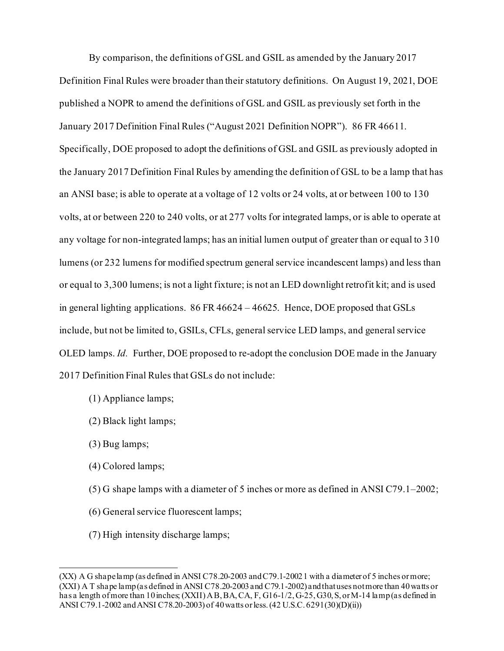By comparison, the definitions of GSL and GSIL as amended by the January 2017 Definition Final Rules were broader than their statutory definitions. On August 19, 2021, DOE published a NOPR to amend the definitions of GSL and GSIL as previously set forth in the January 2017 Definition Final Rules ("August 2021 Definition NOPR"). 86 FR 46611. Specifically, DOE proposed to adopt the definitions of GSL and GSIL as previously adopted in the January 2017 Definition Final Rules by amending the definition of GSL to be a lamp that has an ANSI base; is able to operate at a voltage of 12 volts or 24 volts, at or between 100 to 130 volts, at or between 220 to 240 volts, or at 277 volts for integrated lamps, or is able to operate at any voltage for non-integrated lamps; has an initial lumen output of greater than or equal to 310 lumens (or 232 lumens for modified spectrum general service incandescent lamps) and less than or equal to 3,300 lumens; is not a light fixture; is not an LED downlight retrofit kit; and is used in general lighting applications. 86 FR 46624 – 46625. Hence, DOE proposed that GSLs include, but not be limited to, GSILs, CFLs, general service LED lamps, and general service OLED lamps. *Id.* Further, DOE proposed to re-adopt the conclusion DOE made in the January 2017 Definition Final Rules that GSLs do not include:

- (1) Appliance lamps;
- (2) Black light lamps;
- (3) Bug lamps;
- (4) Colored lamps;
- (5) G shape lamps with a diameter of 5 inches or more as defined in ANSI C79.1–2002;
- (6) General service fluorescent lamps;
- (7) High intensity discharge lamps;

<span id="page-22-0"></span><sup>(</sup>XX) A G shape lamp (as defined in ANSI C78.20-2003 and C79.1-2002 1 with a diameter of 5 inches or more; (XXI) A T shape lamp (as defined in ANSI C78.20-2003 and C79.1-2002) and that uses not more than 40 watts or has a length of more than 10 inches; (XXII) A B, BA, CA, F, G16-1/2, G-25, G30, S, or M-14 lamp (as defined in ANSI C79.1-2002 and ANSI C78.20-2003) of 40 watts or less. (42 U.S.C. 6291(30)(D)(ii))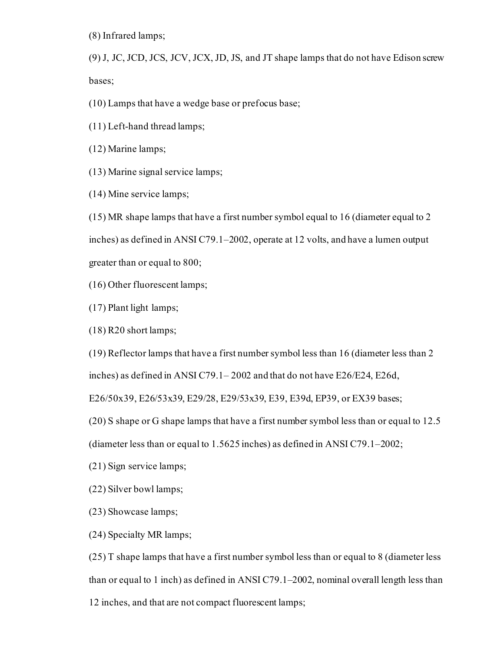(8) Infrared lamps;

(9) J, JC, JCD, JCS, JCV, JCX, JD, JS, and JT shape lamps that do not have Edison screw bases;

(10) Lamps that have a wedge base or prefocus base;

(11) Left-hand thread lamps;

(12) Marine lamps;

(13) Marine signal service lamps;

(14) Mine service lamps;

(15) MR shape lamps that have a first number symbol equal to 16 (diameter equal to 2 inches) as defined in ANSI C79.1–2002, operate at 12 volts, and have a lumen output greater than or equal to 800;

(16) Other fluorescent lamps;

(17) Plant light lamps;

(18) R20 short lamps;

(19) Reflector lamps that have a first number symbol less than 16 (diameter less than 2

inches) as defined in ANSI C79.1– 2002 and that do not have E26/E24, E26d,

E26/50x39, E26/53x39, E29/28, E29/53x39, E39, E39d, EP39, or EX39 bases;

(20) S shape or G shape lamps that have a first number symbol less than or equal to 12.5

(diameter less than or equal to 1.5625 inches) as defined in ANSI C79.1–2002;

(21) Sign service lamps;

(22) Silver bowl lamps;

(23) Showcase lamps;

(24) Specialty MR lamps;

(25) T shape lamps that have a first number symbol less than or equal to 8 (diameter less than or equal to 1 inch) as defined in ANSI C79.1–2002, nominal overall length less than 12 inches, and that are not compact fluorescent lamps;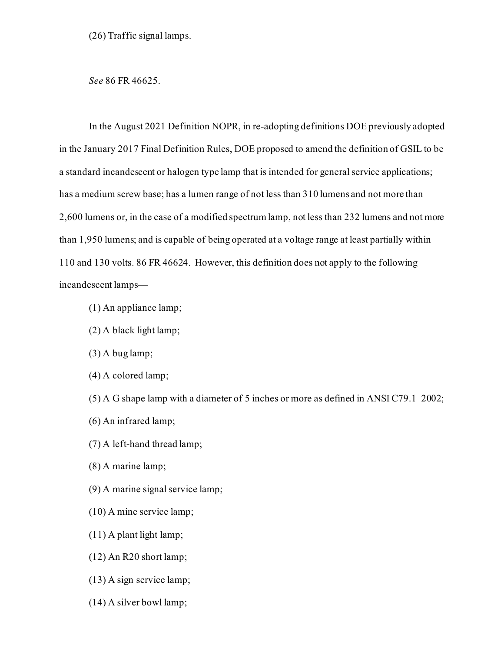(26) Traffic signal lamps.

*See* 86 FR 46625.

In the August 2021 Definition NOPR, in re-adopting definitions DOE previously adopted in the January 2017 Final Definition Rules, DOE proposed to amend the definition of GSIL to be a standard incandescent or halogen type lamp that is intended for general service applications; has a medium screw base; has a lumen range of not less than 310 lumens and not more than 2,600 lumens or, in the case of a modified spectrum lamp, not less than 232 lumens and not more than 1,950 lumens; and is capable of being operated at a voltage range at least partially within 110 and 130 volts. 86 FR 46624. However, this definition does not apply to the following incandescent lamps—

- (1) An appliance lamp;
- (2) A black light lamp;
- (3) A bug lamp;
- (4) A colored lamp;

(5) A G shape lamp with a diameter of 5 inches or more as defined in ANSI C79.1–2002;

- (6) An infrared lamp;
- (7) A left-hand thread lamp;
- (8) A marine lamp;
- (9) A marine signal service lamp;
- (10) A mine service lamp;
- (11) A plant light lamp;
- (12) An R20 short lamp;
- (13) A sign service lamp;
- (14) A silver bowl lamp;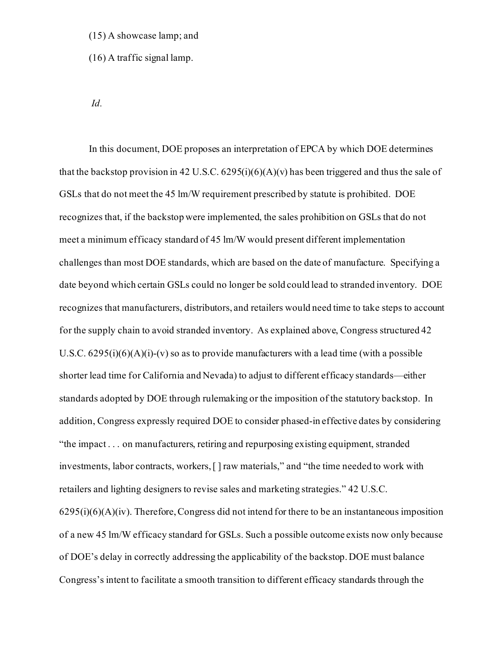#### (15) A showcase lamp; and

(16) A traffic signal lamp.

*Id.*

In this document, DOE proposes an interpretation of EPCA by which DOE determines that the backstop provision in 42 U.S.C.  $6295(i)(6)(A)(v)$  has been triggered and thus the sale of GSLs that do not meet the 45 lm/W requirement prescribed by statute is prohibited. DOE recognizes that, if the backstop were implemented, the sales prohibition on GSLs that do not meet a minimum efficacy standard of 45 lm/W would present different implementation challenges than most DOE standards, which are based on the date of manufacture. Specifying a date beyond which certain GSLs could no longer be sold could lead to stranded inventory. DOE recognizes that manufacturers, distributors, and retailers would need time to take steps to account for the supply chain to avoid stranded inventory. As explained above, Congress structured 42 U.S.C.  $6295(i)(6)(A)(i)-(v)$  so as to provide manufacturers with a lead time (with a possible shorter lead time for California and Nevada) to adjust to different efficacy standards—either standards adopted by DOE through rulemaking or the imposition of the statutory backstop. In addition, Congress expressly required DOE to consider phased-in effective dates by considering "the impact . . . on manufacturers, retiring and repurposing existing equipment, stranded investments, labor contracts, workers, [ ] raw materials," and "the time needed to work with retailers and lighting designers to revise sales and marketing strategies." 42 U.S.C.  $6295(i)(6)(A)(iv)$ . Therefore, Congress did not intend for there to be an instantaneous imposition of a new 45 lm/W efficacy standard for GSLs. Such a possible outcome exists now only because of DOE's delay in correctly addressing the applicability of the backstop. DOE must balance Congress's intent to facilitate a smooth transition to different efficacy standards through the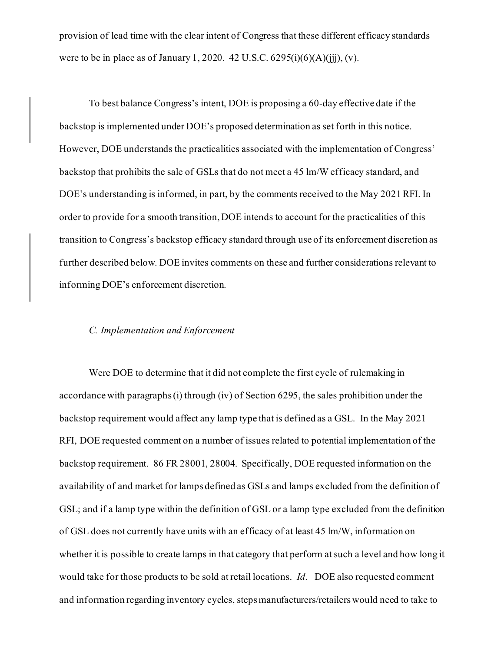provision of lead time with the clear intent of Congress that these different efficacy standards were to be in place as of January 1, 2020. 42 U.S.C.  $6295(i)(6)(A)(iii)$ , (v).

To best balance Congress's intent, DOE is proposing a 60-day effective date if the backstop is implemented under DOE's proposed determination as set forth in this notice. However, DOE understands the practicalities associated with the implementation of Congress' backstop that prohibits the sale of GSLs that do not meet a 45 lm/W efficacy standard, and DOE's understanding is informed, in part, by the comments received to the May 2021 RFI. In order to provide for a smooth transition, DOE intends to account for the practicalities of this transition to Congress's backstop efficacy standard through use of its enforcement discretion as further described below. DOE invites comments on these and further considerations relevant to informing DOE's enforcement discretion.

## *C. Implementation and Enforcement*

Were DOE to determine that it did not complete the first cycle of rulemaking in accordance with paragraphs (i) through (iv) of Section 6295, the sales prohibition under the backstop requirement would affect any lamp type that is defined as a GSL. In the May 2021 RFI, DOE requested comment on a number of issues related to potential implementation of the backstop requirement. 86 FR 28001, 28004. Specifically, DOE requested information on the availability of and market for lamps defined as GSLs and lamps excluded from the definition of GSL; and if a lamp type within the definition of GSL or a lamp type excluded from the definition of GSL does not currently have units with an efficacy of at least 45 lm/W, information on whether it is possible to create lamps in that category that perform at such a level and how long it would take for those products to be sold at retail locations. *Id.* DOE also requested comment and information regarding inventory cycles, steps manufacturers/retailers would need to take to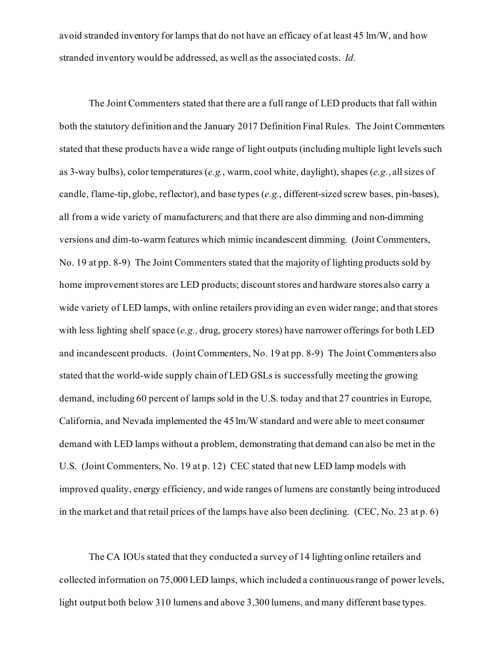avoid stranded inventory for lamps that do not have an efficacy of at least 45 lm/W, and how stranded inventory would be addressed, as well as the associated costs. *Id.*

The Joint Commenters stated that there are a full range of LED products that fall within both the statutory definition and the January 2017 Definition Final Rules. The Joint Commenters stated that these products have a wide range of light outputs (including multiple light levels such as 3-way bulbs), color temperatures (*e.g.*, warm, cool white, daylight), shapes (*e.g.*, all sizes of candle, flame-tip, globe, reflector), and base types (*e.g.*, different-sized screw bases, pin-bases), all from a wide variety of manufacturers; and that there are also dimming and non-dimming versions and dim-to-warm features which mimic incandescent dimming. (Joint Commenters, No. 19 at pp. 8-9) The Joint Commenters stated that the majority of lighting products sold by home improvement stores are LED products; discount stores and hardware stores also carry a wide variety of LED lamps, with online retailers providing an even wider range; and that stores with less lighting shelf space (*e.g.,* drug, grocery stores) have narrower offerings for both LED and incandescent products. (Joint Commenters, No. 19 at pp. 8-9) The Joint Commenters also stated that the world-wide supply chain of LED GSLs is successfully meeting the growing demand, including 60 percent of lamps sold in the U.S. today and that 27 countries in Europe, California, and Nevada implemented the 45 lm/W standard and were able to meet consumer demand with LED lamps without a problem, demonstrating that demand can also be met in the U.S. (Joint Commenters, No. 19 at p. 12) CEC stated that new LED lamp models with improved quality, energy efficiency, and wide ranges of lumens are constantly being introduced in the market and that retail prices of the lamps have also been declining. (CEC, No. 23 at p. 6)

The CA IOUs stated that they conducted a survey of 14 lighting online retailers and collected information on 75,000 LED lamps, which included a continuous range of power levels, light output both below 310 lumens and above 3,300 lumens, and many different base types.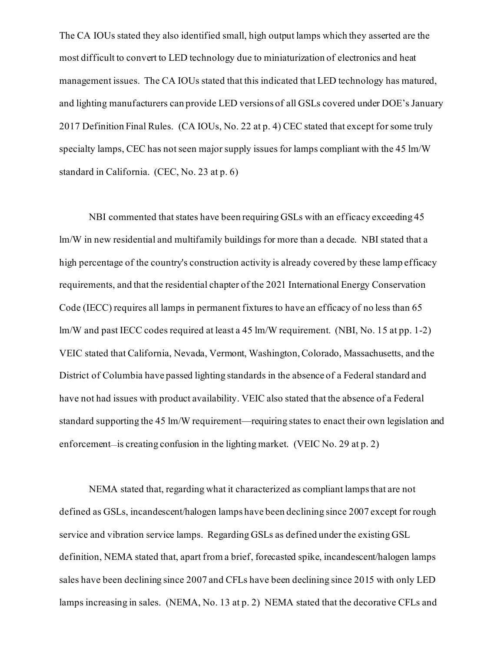The CA IOUs stated they also identified small, high output lamps which they asserted are the most difficult to convert to LED technology due to miniaturization of electronics and heat management issues. The CA IOUs stated that this indicated that LED technology has matured, and lighting manufacturers can provide LED versions of all GSLs covered under DOE's January 2017 Definition Final Rules. (CA IOUs, No. 22 at p. 4) CEC stated that except for some truly specialty lamps, CEC has not seen major supply issues for lamps compliant with the 45 lm/W standard in California. (CEC, No. 23 at p. 6)

NBI commented that states have been requiring GSLs with an efficacy exceeding 45 lm/W in new residential and multifamily buildings for more than a decade. NBI stated that a high percentage of the country's construction activity is already covered by these lamp efficacy requirements, and that the residential chapter of the 2021 International Energy Conservation Code (IECC) requires all lamps in permanent fixtures to have an efficacy of no less than 65 lm/W and past IECC codes required at least a 45 lm/W requirement. (NBI, No. 15 at pp. 1-2) VEIC stated that California, Nevada, Vermont, Washington, Colorado, Massachusetts, and the District of Columbia have passed lighting standards in the absence of a Federal standard and have not had issues with product availability. VEIC also stated that the absence of a Federal standard supporting the 45 lm/W requirement—requiring states to enact their own legislation and enforcement—is creating confusion in the lighting market. (VEIC No. 29 at p. 2)

NEMA stated that, regarding what it characterized as compliant lamps that are not defined as GSLs, incandescent/halogen lamps have been declining since 2007 except for rough service and vibration service lamps. Regarding GSLs as defined under the existing GSL definition, NEMA stated that, apart from a brief, forecasted spike, incandescent/halogen lamps sales have been declining since 2007 and CFLs have been declining since 2015 with only LED lamps increasing in sales. (NEMA, No. 13 at p. 2) NEMA stated that the decorative CFLs and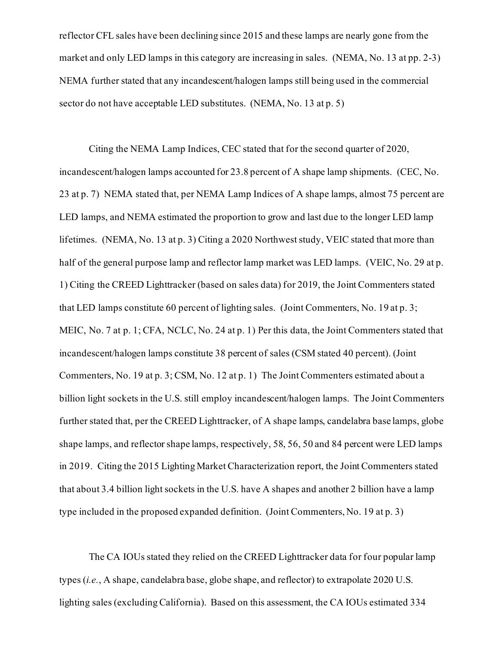reflector CFL sales have been declining since 2015 and these lamps are nearly gone from the market and only LED lamps in this category are increasing in sales. (NEMA, No. 13 at pp. 2-3) NEMA further stated that any incandescent/halogen lamps still being used in the commercial sector do not have acceptable LED substitutes. (NEMA, No. 13 at p. 5)

Citing the NEMA Lamp Indices, CEC stated that for the second quarter of 2020, incandescent/halogen lamps accounted for 23.8 percent of A shape lamp shipments. (CEC, No. 23 at p. 7) NEMA stated that, per NEMA Lamp Indices of A shape lamps, almost 75 percent are LED lamps, and NEMA estimated the proportion to grow and last due to the longer LED lamp lifetimes. (NEMA, No. 13 at p. 3) Citing a 2020 Northwest study, VEIC stated that more than half of the general purpose lamp and reflector lamp market was LED lamps. (VEIC, No. 29 at p. 1) Citing the CREED Lighttracker (based on sales data) for 2019, the Joint Commenters stated that LED lamps constitute 60 percent of lighting sales. (Joint Commenters, No. 19 at p. 3; MEIC, No. 7 at p. 1; CFA, NCLC, No. 24 at p. 1) Per this data, the Joint Commenters stated that incandescent/halogen lamps constitute 38 percent of sales (CSM stated 40 percent). (Joint Commenters, No. 19 at p. 3; CSM, No. 12 at p. 1) The Joint Commenters estimated about a billion light sockets in the U.S. still employ incandescent/halogen lamps. The Joint Commenters further stated that, per the CREED Lighttracker, of A shape lamps, candelabra base lamps, globe shape lamps, and reflector shape lamps, respectively, 58, 56, 50 and 84 percent were LED lamps in 2019. Citing the 2015 Lighting Market Characterization report, the Joint Commenters stated that about 3.4 billion light sockets in the U.S. have A shapes and another 2 billion have a lamp type included in the proposed expanded definition. (Joint Commenters, No. 19 at p. 3)

The CA IOUs stated they relied on the CREED Lighttracker data for four popular lamp types (*i.e.*, A shape, candelabra base, globe shape, and reflector) to extrapolate 2020 U.S. lighting sales (excluding California). Based on this assessment, the CA IOUs estimated 334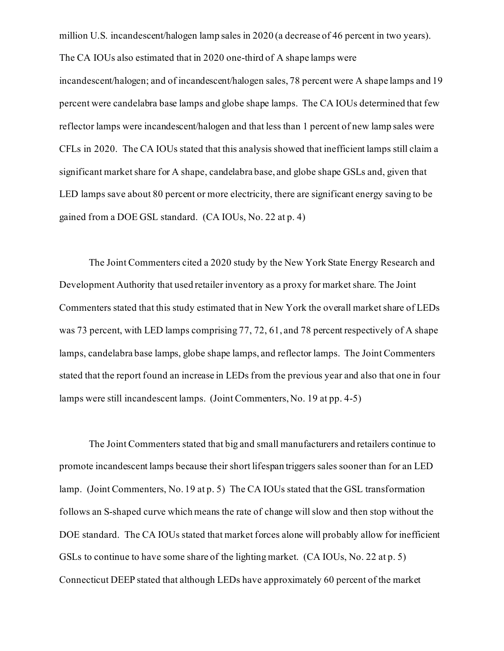million U.S. incandescent/halogen lamp sales in 2020 (a decrease of 46 percent in two years). The CA IOUs also estimated that in 2020 one-third of A shape lamps were

incandescent/halogen; and of incandescent/halogen sales, 78 percent were A shape lamps and 19 percent were candelabra base lamps and globe shape lamps. The CA IOUs determined that few reflector lamps were incandescent/halogen and that less than 1 percent of new lamp sales were CFLs in 2020. The CA IOUs stated that this analysis showed that inefficient lamps still claim a significant market share for A shape, candelabra base, and globe shape GSLs and, given that LED lamps save about 80 percent or more electricity, there are significant energy saving to be gained from a DOE GSL standard. (CA IOUs, No. 22 at p. 4)

The Joint Commenters cited a 2020 study by the New York State Energy Research and Development Authority that used retailer inventory as a proxy for market share. The Joint Commenters stated that this study estimated that in New York the overall market share of LEDs was 73 percent, with LED lamps comprising 77, 72, 61, and 78 percent respectively of A shape lamps, candelabra base lamps, globe shape lamps, and reflector lamps. The Joint Commenters stated that the report found an increase in LEDs from the previous year and also that one in four lamps were still incandescent lamps. (Joint Commenters, No. 19 at pp. 4-5)

The Joint Commenters stated that big and small manufacturers and retailers continue to promote incandescent lamps because their short lifespan triggers sales sooner than for an LED lamp. (Joint Commenters, No. 19 at p. 5) The CA IOUs stated that the GSL transformation follows an S-shaped curve which means the rate of change will slow and then stop without the DOE standard. The CA IOUs stated that market forces alone will probably allow for inefficient GSLs to continue to have some share of the lighting market. (CA IOUs, No. 22 at p. 5) Connecticut DEEP stated that although LEDs have approximately 60 percent of the market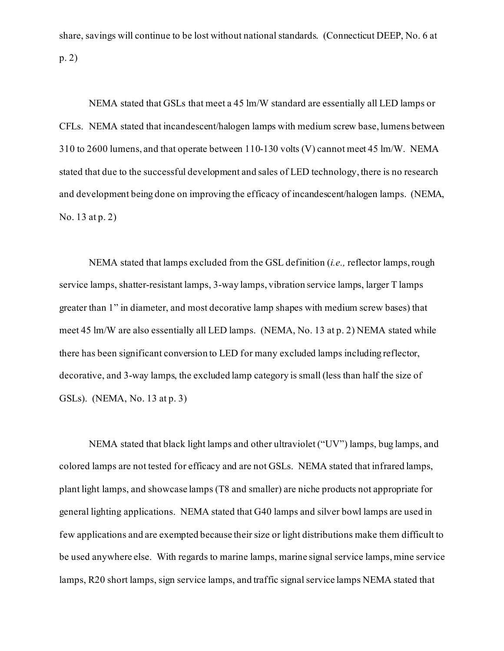share, savings will continue to be lost without national standards. (Connecticut DEEP, No. 6 at p. 2)

NEMA stated that GSLs that meet a 45 lm/W standard are essentially all LED lamps or CFLs. NEMA stated that incandescent/halogen lamps with medium screw base, lumens between 310 to 2600 lumens, and that operate between 110-130 volts (V) cannot meet 45 lm/W. NEMA stated that due to the successful development and sales of LED technology, there is no research and development being done on improving the efficacy of incandescent/halogen lamps. (NEMA, No. 13 at p. 2)

NEMA stated that lamps excluded from the GSL definition (*i.e.,* reflector lamps, rough service lamps, shatter-resistant lamps, 3-way lamps, vibration service lamps, larger T lamps greater than 1" in diameter, and most decorative lamp shapes with medium screw bases) that meet 45 lm/W are also essentially all LED lamps. (NEMA, No. 13 at p. 2) NEMA stated while there has been significant conversion to LED for many excluded lamps including reflector, decorative, and 3-way lamps, the excluded lamp category is small (less than half the size of GSLs). (NEMA, No. 13 at p. 3)

NEMA stated that black light lamps and other ultraviolet ("UV") lamps, bug lamps, and colored lamps are not tested for efficacy and are not GSLs. NEMA stated that infrared lamps, plant light lamps, and showcase lamps (T8 and smaller) are niche products not appropriate for general lighting applications. NEMA stated that G40 lamps and silver bowl lamps are used in few applications and are exempted because their size or light distributions make them difficult to be used anywhere else. With regards to marine lamps, marine signal service lamps, mine service lamps, R20 short lamps, sign service lamps, and traffic signal service lamps NEMA stated that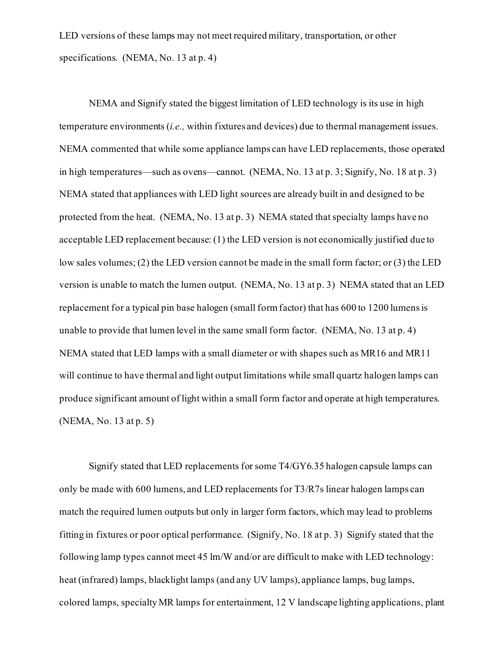LED versions of these lamps may not meet required military, transportation, or other specifications. (NEMA, No. 13 at p. 4)

NEMA and Signify stated the biggest limitation of LED technology is its use in high temperature environments (*i.e.,* within fixtures and devices) due to thermal management issues. NEMA commented that while some appliance lamps can have LED replacements, those operated in high temperatures—such as ovens—cannot. (NEMA, No. 13 at p. 3; Signify, No. 18 at p. 3) NEMA stated that appliances with LED light sources are already built in and designed to be protected from the heat. (NEMA, No. 13 at p. 3) NEMA stated that specialty lamps have no acceptable LED replacement because: (1) the LED version is not economically justified due to low sales volumes; (2) the LED version cannot be made in the small form factor; or (3) the LED version is unable to match the lumen output. (NEMA, No. 13 at p. 3) NEMA stated that an LED replacement for a typical pin base halogen (small form factor) that has 600 to 1200 lumens is unable to provide that lumen level in the same small form factor. (NEMA, No. 13 at p. 4) NEMA stated that LED lamps with a small diameter or with shapes such as MR16 and MR11 will continue to have thermal and light output limitations while small quartz halogen lamps can produce significant amount of light within a small form factor and operate at high temperatures. (NEMA, No. 13 at p. 5)

Signify stated that LED replacements for some T4/GY6.35 halogen capsule lamps can only be made with 600 lumens, and LED replacements for T3/R7s linear halogen lamps can match the required lumen outputs but only in larger form factors, which may lead to problems fitting in fixtures or poor optical performance. (Signify, No. 18 at p. 3) Signify stated that the following lamp types cannot meet 45 lm/W and/or are difficult to make with LED technology: heat (infrared) lamps, blacklight lamps (and any UV lamps), appliance lamps, bug lamps, colored lamps, specialty MR lamps for entertainment, 12 V landscape lighting applications, plant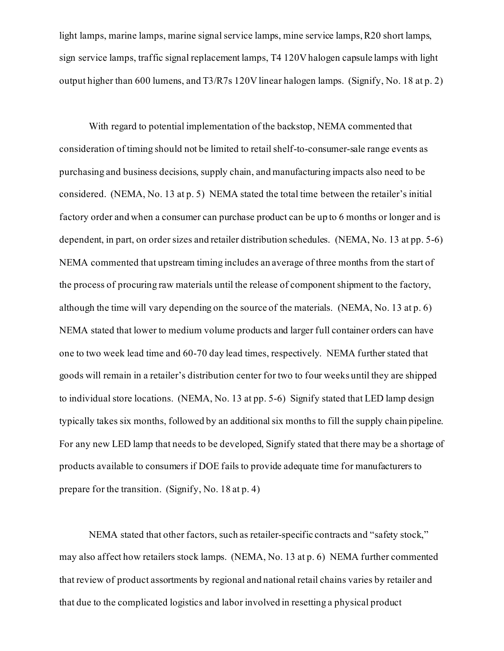light lamps, marine lamps, marine signal service lamps, mine service lamps, R20 short lamps, sign service lamps, traffic signal replacement lamps, T4 120V halogen capsule lamps with light output higher than 600 lumens, and T3/R7s 120V linear halogen lamps. (Signify, No. 18 at p. 2)

With regard to potential implementation of the backstop, NEMA commented that consideration of timing should not be limited to retail shelf-to-consumer-sale range events as purchasing and business decisions, supply chain, and manufacturing impacts also need to be considered. (NEMA, No. 13 at p. 5) NEMA stated the total time between the retailer's initial factory order and when a consumer can purchase product can be up to 6 months or longer and is dependent, in part, on order sizes and retailer distribution schedules. (NEMA, No. 13 at pp. 5-6) NEMA commented that upstream timing includes an average of three months from the start of the process of procuring raw materials until the release of component shipment to the factory, although the time will vary depending on the source of the materials. (NEMA, No. 13 at p. 6) NEMA stated that lower to medium volume products and larger full container orders can have one to two week lead time and 60-70 day lead times, respectively. NEMA further stated that goods will remain in a retailer's distribution center for two to four weeks until they are shipped to individual store locations. (NEMA, No. 13 at pp. 5-6) Signify stated that LED lamp design typically takes six months, followed by an additional six months to fill the supply chain pipeline. For any new LED lamp that needs to be developed, Signify stated that there may be a shortage of products available to consumers if DOE fails to provide adequate time for manufacturers to prepare for the transition. (Signify, No. 18 at p. 4)

NEMA stated that other factors, such as retailer-specific contracts and "safety stock," may also affect how retailers stock lamps. (NEMA, No. 13 at p. 6) NEMA further commented that review of product assortments by regional and national retail chains varies by retailer and that due to the complicated logistics and labor involved in resetting a physical product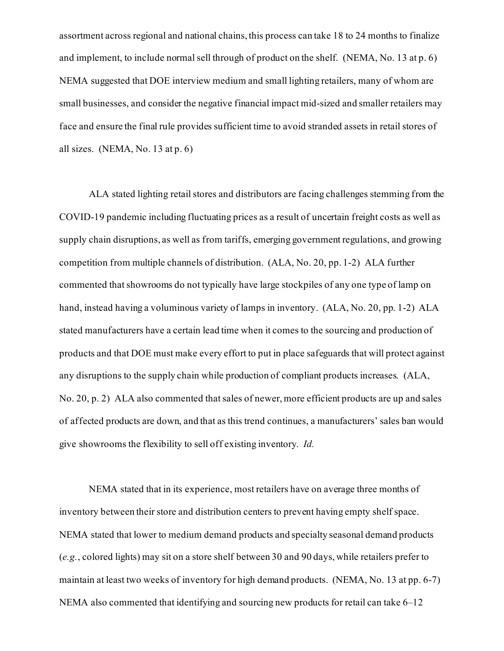assortment across regional and national chains, this process can take 18 to 24 months to finalize and implement, to include normal sell through of product on the shelf. (NEMA, No. 13 at p. 6) NEMA suggested that DOE interview medium and small lighting retailers, many of whom are small businesses, and consider the negative financial impact mid-sized and smaller retailers may face and ensure the final rule provides sufficient time to avoid stranded assets in retail stores of all sizes. (NEMA, No. 13 at p. 6)

ALA stated lighting retail stores and distributors are facing challenges stemming from the COVID-19 pandemic including fluctuating prices as a result of uncertain freight costs as well as supply chain disruptions, as well as from tariffs, emerging government regulations, and growing competition from multiple channels of distribution. (ALA, No. 20, pp. 1-2) ALA further commented that showrooms do not typically have large stockpiles of any one type of lamp on hand, instead having a voluminous variety of lamps in inventory. (ALA, No. 20, pp. 1-2) ALA stated manufacturers have a certain lead time when it comes to the sourcing and production of products and that DOE must make every effort to put in place safeguards that will protect against any disruptions to the supply chain while production of compliant products increases. (ALA, No. 20, p. 2) ALA also commented that sales of newer, more efficient products are up and sales of affected products are down, and that as this trend continues, a manufacturers' sales ban would give showrooms the flexibility to sell off existing inventory. *Id.*

NEMA stated that in its experience, most retailers have on average three months of inventory between their store and distribution centers to prevent having empty shelf space. NEMA stated that lower to medium demand products and specialty seasonal demand products (*e.g.*, colored lights) may sit on a store shelf between 30 and 90 days, while retailers prefer to maintain at least two weeks of inventory for high demand products. (NEMA, No. 13 at pp. 6-7) NEMA also commented that identifying and sourcing new products for retail can take 6–12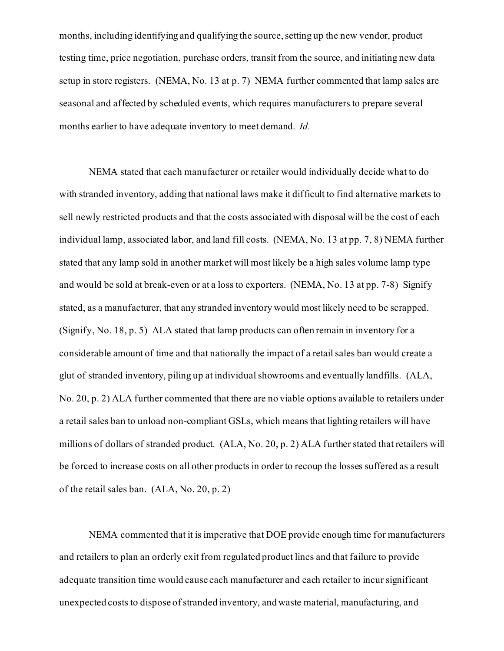months, including identifying and qualifying the source, setting up the new vendor, product testing time, price negotiation, purchase orders, transit from the source, and initiating new data setup in store registers. (NEMA, No. 13 at p. 7) NEMA further commented that lamp sales are seasonal and affected by scheduled events, which requires manufacturers to prepare several months earlier to have adequate inventory to meet demand. *Id.*

NEMA stated that each manufacturer or retailer would individually decide what to do with stranded inventory, adding that national laws make it difficult to find alternative markets to sell newly restricted products and that the costs associated with disposal will be the cost of each individual lamp, associated labor, and land fill costs. (NEMA, No. 13 at pp. 7, 8) NEMA further stated that any lamp sold in another market will most likely be a high sales volume lamp type and would be sold at break-even or at a loss to exporters. (NEMA, No. 13 at pp. 7-8) Signify stated, as a manufacturer, that any stranded inventory would most likely need to be scrapped. (Signify, No. 18, p. 5) ALA stated that lamp products can often remain in inventory for a considerable amount of time and that nationally the impact of a retail sales ban would create a glut of stranded inventory, piling up at individual showrooms and eventually landfills. (ALA, No. 20, p. 2) ALA further commented that there are no viable options available to retailers under a retail sales ban to unload non-compliant GSLs, which means that lighting retailers will have millions of dollars of stranded product. (ALA, No. 20, p. 2) ALA further stated that retailers will be forced to increase costs on all other products in order to recoup the losses suffered as a result of the retail sales ban. (ALA, No. 20, p. 2)

NEMA commented that it is imperative that DOE provide enough time for manufacturers and retailers to plan an orderly exit from regulated product lines and that failure to provide adequate transition time would cause each manufacturer and each retailer to incur significant unexpected costs to dispose of stranded inventory, and waste material, manufacturing, and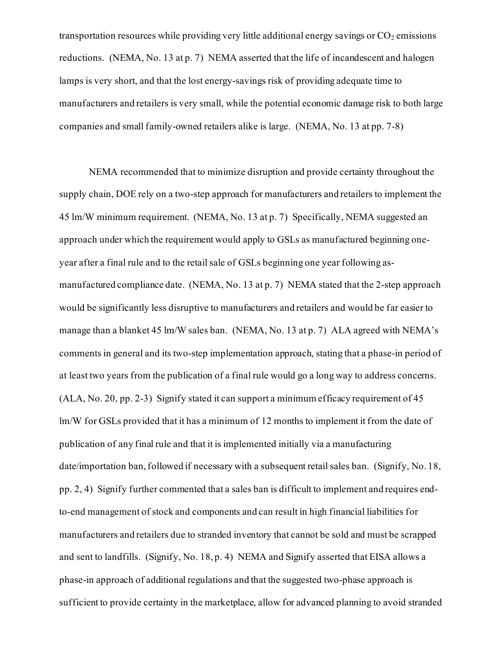transportation resources while providing very little additional energy savings or  $CO<sub>2</sub>$  emissions reductions. (NEMA, No. 13 at p. 7) NEMA asserted that the life of incandescent and halogen lamps is very short, and that the lost energy-savings risk of providing adequate time to manufacturers and retailers is very small, while the potential economic damage risk to both large companies and small family-owned retailers alike is large. (NEMA, No. 13 at pp. 7-8)

NEMA recommended that to minimize disruption and provide certainty throughout the supply chain, DOE rely on a two-step approach for manufacturers and retailers to implement the 45 lm/W minimum requirement. (NEMA, No. 13 at p. 7) Specifically, NEMA suggested an approach under which the requirement would apply to GSLs as manufactured beginning oneyear after a final rule and to the retail sale of GSLs beginning one year following asmanufactured compliance date. (NEMA, No. 13 at p. 7) NEMA stated that the 2-step approach would be significantly less disruptive to manufacturers and retailers and would be far easier to manage than a blanket 45 lm/W sales ban. (NEMA, No. 13 at p. 7) ALA agreed with NEMA's comments in general and its two-step implementation approach, stating that a phase-in period of at least two years from the publication of a final rule would go a long way to address concerns.  $(ALA, No. 20, pp. 2-3)$  Signify stated it can support a minimum efficacy requirement of 45 lm/W for GSLs provided that it has a minimum of 12 months to implement it from the date of publication of any final rule and that it is implemented initially via a manufacturing date/importation ban, followed if necessary with a subsequent retail sales ban. (Signify, No. 18, pp. 2, 4) Signify further commented that a sales ban is difficult to implement and requires endto-end management of stock and components and can result in high financial liabilities for manufacturers and retailers due to stranded inventory that cannot be sold and must be scrapped and sent to landfills. (Signify, No. 18, p. 4) NEMA and Signify asserted that EISA allows a phase-in approach of additional regulations and that the suggested two-phase approach is sufficient to provide certainty in the marketplace, allow for advanced planning to avoid stranded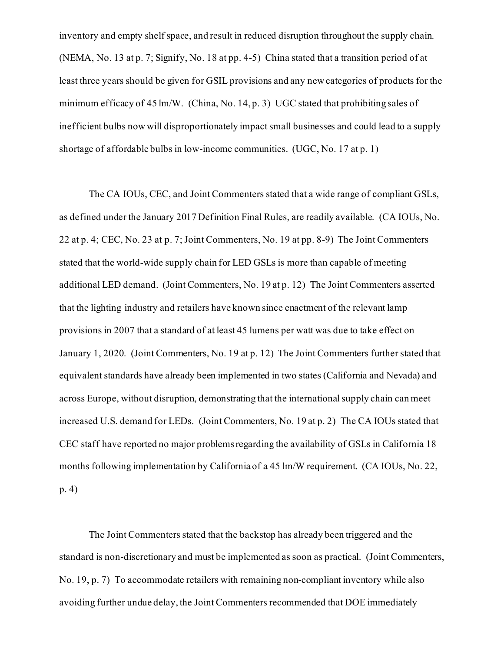inventory and empty shelf space, and result in reduced disruption throughout the supply chain. (NEMA, No. 13 at p. 7; Signify, No. 18 at pp. 4-5) China stated that a transition period of at least three years should be given for GSIL provisions and any new categories of products for the minimum efficacy of 45 lm/W. (China, No. 14, p. 3) UGC stated that prohibiting sales of inefficient bulbs now will disproportionately impact small businesses and could lead to a supply shortage of affordable bulbs in low-income communities. (UGC, No. 17 at p. 1)

The CA IOUs, CEC, and Joint Commenters stated that a wide range of compliant GSLs, as defined under the January 2017 Definition Final Rules, are readily available. (CA IOUs, No. 22 at p. 4; CEC, No. 23 at p. 7; Joint Commenters, No. 19 at pp. 8-9) The Joint Commenters stated that the world-wide supply chain for LED GSLs is more than capable of meeting additional LED demand. (Joint Commenters, No. 19 at p. 12) The Joint Commenters asserted that the lighting industry and retailers have known since enactment of the relevant lamp provisions in 2007 that a standard of at least 45 lumens per watt was due to take effect on January 1, 2020. (Joint Commenters, No. 19 at p. 12) The Joint Commenters further stated that equivalent standards have already been implemented in two states (California and Nevada) and across Europe, without disruption, demonstrating that the international supply chain can meet increased U.S. demand for LEDs. (Joint Commenters, No. 19 at p. 2) The CA IOUs stated that CEC staff have reported no major problems regarding the availability of GSLs in California 18 months following implementation by California of a 45 lm/W requirement. (CA IOUs, No. 22, p. 4)

The Joint Commenters stated that the backstop has already been triggered and the standard is non-discretionary and must be implemented as soon as practical. (Joint Commenters, No. 19, p. 7) To accommodate retailers with remaining non-compliant inventory while also avoiding further undue delay, the Joint Commenters recommended that DOE immediately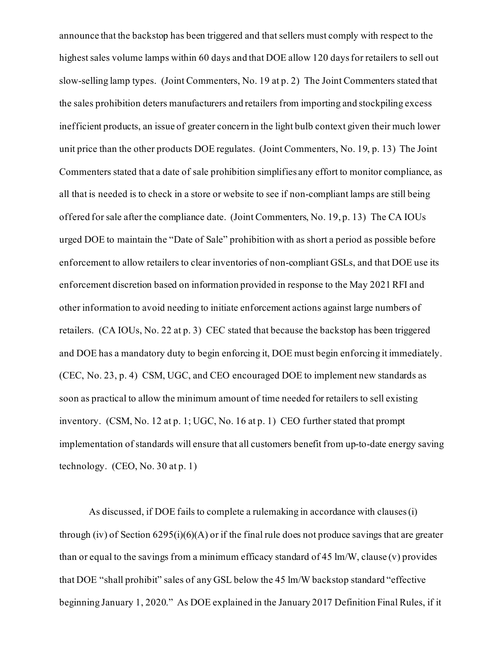announce that the backstop has been triggered and that sellers must comply with respect to the highest sales volume lamps within 60 days and that DOE allow 120 days for retailers to sell out slow-selling lamp types. (Joint Commenters, No. 19 at p. 2) The Joint Commenters stated that the sales prohibition deters manufacturers and retailers from importing and stockpiling excess inefficient products, an issue of greater concern in the light bulb context given their much lower unit price than the other products DOE regulates. (Joint Commenters, No. 19, p. 13) The Joint Commenters stated that a date of sale prohibition simplifies any effort to monitor compliance, as all that is needed is to check in a store or website to see if non-compliant lamps are still being offered for sale after the compliance date. (Joint Commenters, No. 19, p. 13) The CA IOUs urged DOE to maintain the "Date of Sale" prohibition with as short a period as possible before enforcement to allow retailers to clear inventories of non-compliant GSLs, and that DOE use its enforcement discretion based on information provided in response to the May 2021 RFI and other information to avoid needing to initiate enforcement actions against large numbers of retailers. (CA IOUs, No. 22 at p. 3) CEC stated that because the backstop has been triggered and DOE has a mandatory duty to begin enforcing it, DOE must begin enforcing it immediately. (CEC, No. 23, p. 4) CSM, UGC, and CEO encouraged DOE to implement new standards as soon as practical to allow the minimum amount of time needed for retailers to sell existing inventory. (CSM, No. 12 at p. 1; UGC, No. 16 at p. 1) CEO further stated that prompt implementation of standards will ensure that all customers benefit from up-to-date energy saving technology.  $(CEO, No. 30 at p. 1)$ 

As discussed, if DOE fails to complete a rulemaking in accordance with clauses (i) through (iv) of Section 6295(i)(6)(A) or if the final rule does not produce savings that are greater than or equal to the savings from a minimum efficacy standard of 45 lm/W, clause  $(v)$  provides that DOE "shall prohibit" sales of any GSL below the 45 lm/W backstop standard "effective beginning January 1, 2020." As DOE explained in the January 2017 Definition Final Rules, if it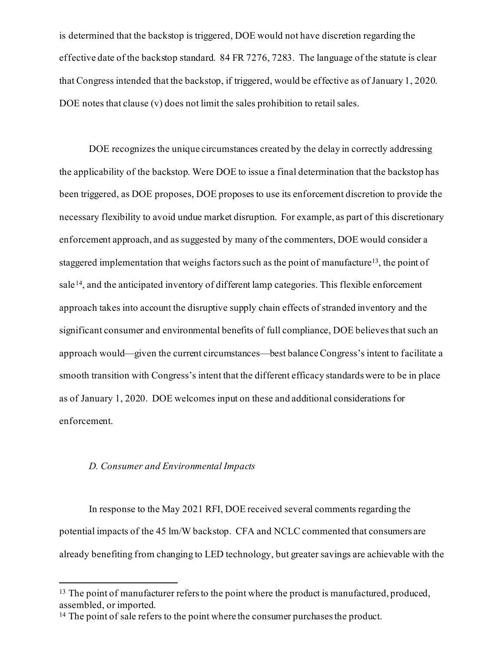is determined that the backstop is triggered, DOE would not have discretion regarding the effective date of the backstop standard. 84 FR 7276, 7283. The language of the statute is clear that Congress intended that the backstop, if triggered, would be effective as of January 1, 2020. DOE notes that clause (v) does not limit the sales prohibition to retail sales.

DOE recognizes the unique circumstances created by the delay in correctly addressing the applicability of the backstop. Were DOE to issue a final determination that the backstop has been triggered, as DOE proposes, DOE proposes to use its enforcement discretion to provide the necessary flexibility to avoid undue market disruption. For example, as part of this discretionary enforcement approach, and as suggested by many of the commenters, DOE would consider a staggered implementation that weighs factors such as the point of manufacture<sup>[13](#page-39-0)</sup>, the point of sale <sup>[14](#page-39-1)</sup>, and the anticipated inventory of different lamp categories. This flexible enforcement approach takes into account the disruptive supply chain effects of stranded inventory and the significant consumer and environmental benefits of full compliance, DOE believes that such an approach would—given the current circumstances—best balance Congress's intent to facilitate a smooth transition with Congress's intent that the different efficacy standards were to be in place as of January 1, 2020. DOE welcomes input on these and additional considerations for enforcement.

# *D. Consumer and Environmental Impacts*

In response to the May 2021 RFI, DOE received several comments regarding the potential impacts of the 45 lm/W backstop. CFA and NCLC commented that consumers are already benefiting from changing to LED technology, but greater savings are achievable with the

<span id="page-39-0"></span><sup>&</sup>lt;sup>13</sup> The point of manufacturer refers to the point where the product is manufactured, produced, assembled, or imported.

<span id="page-39-1"></span><sup>&</sup>lt;sup>14</sup> The point of sale refers to the point where the consumer purchases the product.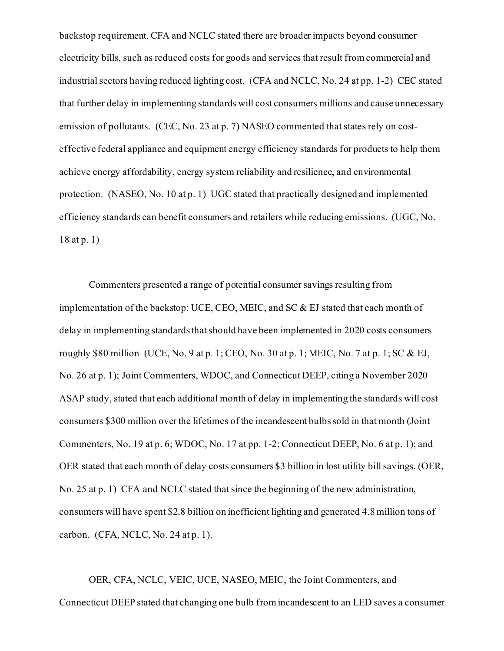backstop requirement. CFA and NCLC stated there are broader impacts beyond consumer electricity bills, such as reduced costs for goods and services that result from commercial and industrial sectors having reduced lighting cost. (CFA and NCLC, No. 24 at pp. 1-2) CEC stated that further delay in implementing standards will cost consumers millions and cause unnecessary emission of pollutants. (CEC, No. 23 at p. 7) NASEO commented that states rely on costeffective federal appliance and equipment energy efficiency standards for products to help them achieve energy affordability, energy system reliability and resilience, and environmental protection. (NASEO, No. 10 at p. 1) UGC stated that practically designed and implemented efficiency standards can benefit consumers and retailers while reducing emissions. (UGC, No. 18 at p. 1)

Commenters presented a range of potential consumer savings resulting from implementation of the backstop: UCE, CEO, MEIC, and SC & EJ stated that each month of delay in implementing standards that should have been implemented in 2020 costs consumers roughly \$80 million (UCE, No. 9 at p. 1; CEO, No. 30 at p. 1; MEIC, No. 7 at p. 1; SC & EJ, No. 26 at p. 1); Joint Commenters, WDOC, and Connecticut DEEP, citing a November 2020 ASAP study, stated that each additional month of delay in implementing the standards will cost consumers \$300 million over the lifetimes of the incandescent bulbs sold in that month (Joint Commenters, No. 19 at p. 6; WDOC, No. 17 at pp. 1-2; Connecticut DEEP, No. 6 at p. 1); and OER stated that each month of delay costs consumers \$3 billion in lost utility bill savings. (OER, No. 25 at p. 1) CFA and NCLC stated that since the beginning of the new administration, consumers will have spent \$2.8 billion on inefficient lighting and generated 4.8 million tons of carbon. (CFA, NCLC, No. 24 at p. 1).

OER, CFA, NCLC, VEIC, UCE, NASEO, MEIC, the Joint Commenters, and Connecticut DEEP stated that changing one bulb from incandescent to an LED saves a consumer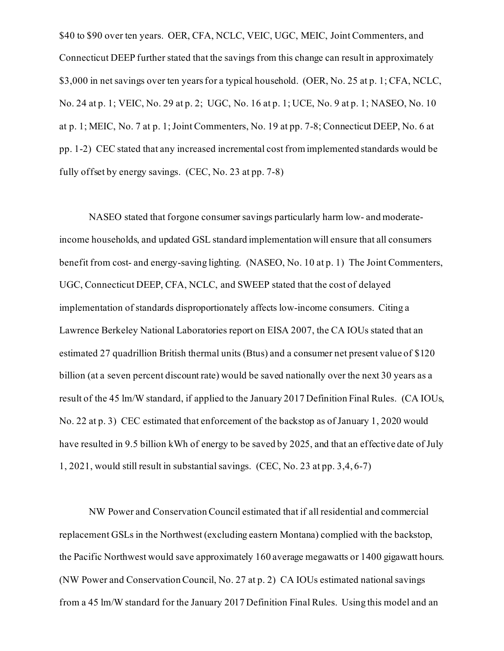\$40 to \$90 over ten years. OER, CFA, NCLC, VEIC, UGC, MEIC, Joint Commenters, and Connecticut DEEP further stated that the savings from this change can result in approximately \$3,000 in net savings over ten years for a typical household. (OER, No. 25 at p. 1; CFA, NCLC, No. 24 at p. 1; VEIC, No. 29 at p. 2; UGC, No. 16 at p. 1; UCE, No. 9 at p. 1; NASEO, No. 10 at p. 1; MEIC, No. 7 at p. 1; Joint Commenters, No. 19 at pp. 7-8; Connecticut DEEP, No. 6 at pp. 1-2) CEC stated that any increased incremental cost from implemented standards would be fully offset by energy savings. (CEC, No. 23 at pp. 7-8)

NASEO stated that forgone consumer savings particularly harm low- and moderateincome households, and updated GSL standard implementation will ensure that all consumers benefit from cost- and energy-saving lighting. (NASEO, No. 10 at p. 1) The Joint Commenters, UGC, Connecticut DEEP, CFA, NCLC, and SWEEP stated that the cost of delayed implementation of standards disproportionately affects low-income consumers. Citing a Lawrence Berkeley National Laboratories report on EISA 2007, the CA IOUs stated that an estimated 27 quadrillion British thermal units (Btus) and a consumer net present value of \$120 billion (at a seven percent discount rate) would be saved nationally over the next 30 years as a result of the 45 lm/W standard, if applied to the January 2017 Definition Final Rules. (CA IOUs, No. 22 at p. 3) CEC estimated that enforcement of the backstop as of January 1, 2020 would have resulted in 9.5 billion kWh of energy to be saved by 2025, and that an effective date of July 1, 2021, would still result in substantial savings. (CEC, No. 23 at pp. 3,4, 6-7)

NW Power and Conservation Council estimated that if all residential and commercial replacement GSLs in the Northwest (excluding eastern Montana) complied with the backstop, the Pacific Northwest would save approximately 160 average megawatts or 1400 gigawatt hours. (NW Power and Conservation Council, No. 27 at p. 2) CA IOUs estimated nationalsavings from a 45 lm/W standard for the January 2017 Definition Final Rules. Using this model and an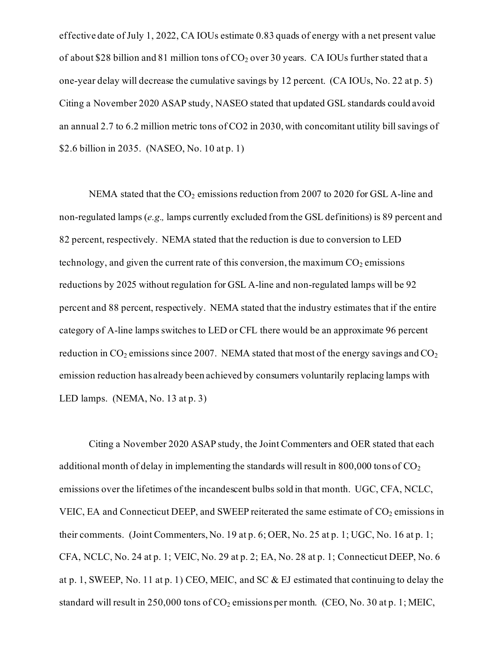effective date of July 1, 2022, CA IOUs estimate 0.83 quads of energy with a net present value of about \$28 billion and 81 million tons of  $CO_2$  over 30 years. CA IOUs further stated that a one-year delay will decrease the cumulative savings by 12 percent. (CA IOUs, No. 22 at p. 5) Citing a November 2020 ASAP study, NASEO stated that updated GSL standards could avoid an annual 2.7 to 6.2 million metric tons of CO2 in 2030, with concomitant utility bill savings of \$2.6 billion in 2035. (NASEO, No. 10 at p. 1)

NEMA stated that the  $CO_2$  emissions reduction from 2007 to 2020 for GSL A-line and non-regulated lamps (*e.g.,* lamps currently excluded from the GSL definitions) is 89 percent and 82 percent, respectively. NEMA stated that the reduction is due to conversion to LED technology, and given the current rate of this conversion, the maximum  $CO<sub>2</sub>$  emissions reductions by 2025 without regulation for GSL A-line and non-regulated lamps will be 92 percent and 88 percent, respectively. NEMA stated that the industry estimates that if the entire category of A-line lamps switches to LED or CFL there would be an approximate 96 percent reduction in  $CO<sub>2</sub>$  emissions since 2007. NEMA stated that most of the energy savings and  $CO<sub>2</sub>$ emission reduction has already been achieved by consumers voluntarily replacing lamps with LED lamps. (NEMA, No. 13 at p. 3)

Citing a November 2020 ASAP study, the Joint Commenters and OER stated that each additional month of delay in implementing the standards will result in 800,000 tons of  $CO<sub>2</sub>$ emissions over the lifetimes of the incandescent bulbs sold in that month. UGC, CFA, NCLC, VEIC, EA and Connecticut DEEP, and SWEEP reiterated the same estimate of  $CO<sub>2</sub>$  emissions in their comments. (Joint Commenters, No. 19 at p. 6; OER, No. 25 at p. 1; UGC, No. 16 at p. 1; CFA, NCLC, No. 24 at p. 1; VEIC, No. 29 at p. 2; EA, No. 28 at p. 1; Connecticut DEEP, No. 6 at p. 1, SWEEP, No. 11 at p. 1) CEO, MEIC, and SC & EJ estimated that continuing to delay the standard will result in 250,000 tons of  $CO_2$  emissions per month. (CEO, No. 30 at p. 1; MEIC,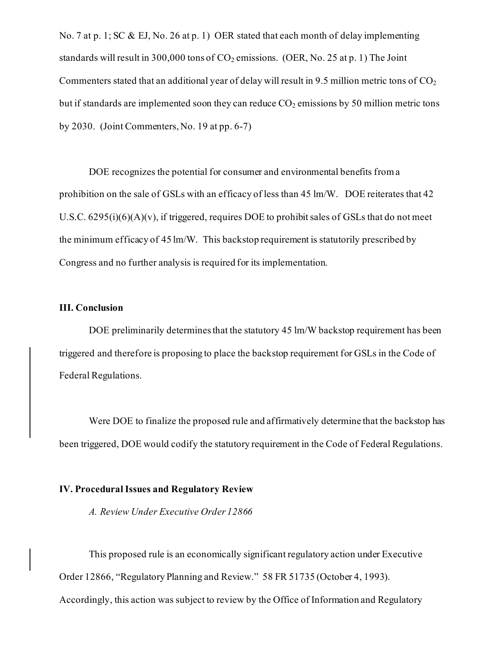No. 7 at p. 1; SC & EJ, No. 26 at p. 1) OER stated that each month of delay implementing standards will result in 300,000 tons of  $CO_2$  emissions. (OER, No. 25 at p. 1) The Joint Commenters stated that an additional year of delay will result in 9.5 million metric tons of  $CO<sub>2</sub>$ but if standards are implemented soon they can reduce  $CO_2$  emissions by 50 million metric tons by 2030. (Joint Commenters, No. 19 at pp. 6-7)

DOE recognizes the potential for consumer and environmental benefits from a prohibition on the sale of GSLs with an efficacy of less than 45 lm/W. DOE reiterates that 42 U.S.C.  $6295(i)(6)(A)(v)$ , if triggered, requires DOE to prohibit sales of GSLs that do not meet the minimum efficacy of 45 lm/W. This backstop requirement is statutorily prescribed by Congress and no further analysis is required for its implementation.

## **III. Conclusion**

DOE preliminarily determines that the statutory 45 lm/W backstop requirement has been triggered and therefore is proposing to place the backstop requirement for GSLs in the Code of Federal Regulations.

Were DOE to finalize the proposed rule and affirmatively determine that the backstop has been triggered, DOE would codify the statutory requirement in the Code of Federal Regulations.

### **IV. Procedural Issues and Regulatory Review**

*A. Review Under Executive Order 12866* 

This proposed rule is an economically significant regulatory action under Executive Order 12866, "Regulatory Planning and Review." 58 FR 51735 (October 4, 1993). Accordingly, this action was subject to review by the Office of Information and Regulatory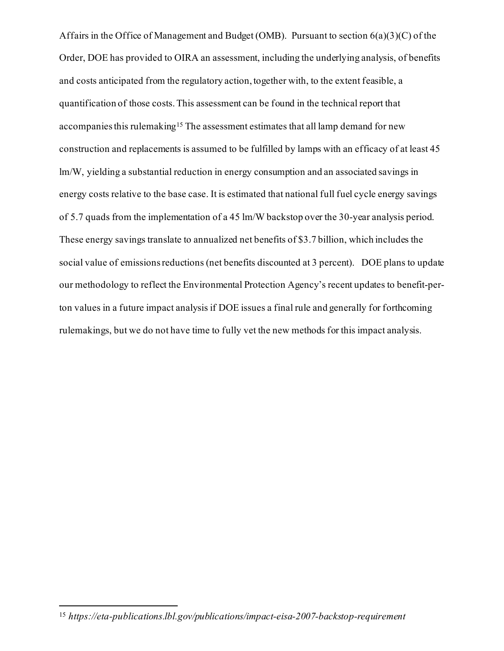Affairs in the Office of Management and Budget (OMB). Pursuant to section  $6(a)(3)(C)$  of the Order, DOE has provided to OIRA an assessment, including the underlying analysis, of benefits and costs anticipated from the regulatory action, together with, to the extent feasible, a quantification of those costs. This assessment can be found in the technical report that accompanies this rulemaking<sup>15</sup> The assessment estimates that all lamp demand for new construction and replacements is assumed to be fulfilled by lamps with an efficacy of at least 45 lm/W, yielding a substantial reduction in energy consumption and an associated savings in energy costs relative to the base case. It is estimated that national full fuel cycle energy savings of 5.7 quads from the implementation of a 45 lm/W backstop over the 30-year analysis period. These energy savings translate to annualized net benefits of \$3.7 billion, which includes the social value of emissions reductions (net benefits discounted at 3 percent). DOE plans to update our methodology to reflect the Environmental Protection Agency's recent updates to benefit-perton values in a future impact analysis if DOE issues a final rule and generally for forthcoming rulemakings, but we do not have time to fully vet the new methods for this impact analysis.

<sup>15</sup> *https://eta-publications.lbl.gov/publications/impact-eisa-2007-backstop-requirement*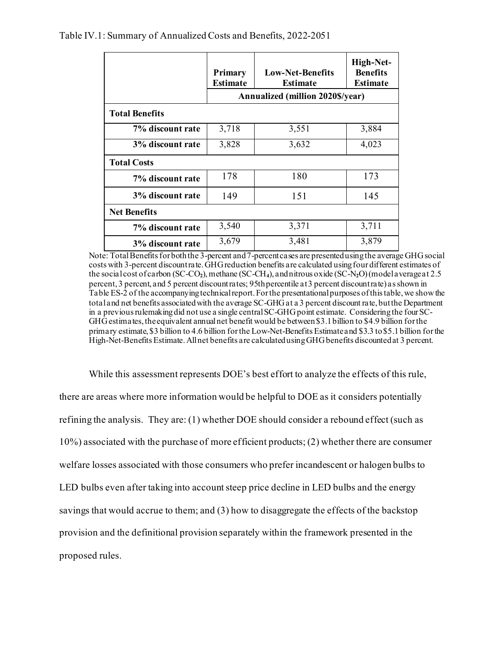Table IV.1: Summary of Annualized Costs and Benefits, 2022-2051

|                       | Primary<br><b>Estimate</b>              | <b>Low-Net-Benefits</b><br><b>Estimate</b> | High-Net-<br><b>Benefits</b><br><b>Estimate</b> |  |  |
|-----------------------|-----------------------------------------|--------------------------------------------|-------------------------------------------------|--|--|
|                       | <b>Annualized (million 2020\$/year)</b> |                                            |                                                 |  |  |
| <b>Total Benefits</b> |                                         |                                            |                                                 |  |  |
| 7% discount rate      | 3,718                                   | 3,551                                      | 3,884                                           |  |  |
| 3% discount rate      | 3,828                                   | 3,632                                      | 4,023                                           |  |  |
| <b>Total Costs</b>    |                                         |                                            |                                                 |  |  |
| 7% discount rate      | 178                                     | 180                                        | 173                                             |  |  |
| 3% discount rate      | 149                                     | 151                                        | 145                                             |  |  |
| <b>Net Benefits</b>   |                                         |                                            |                                                 |  |  |
| 7% discount rate      | 3,540                                   | 3,371                                      | 3,711                                           |  |  |
| 3% discount rate      | 3,679                                   | 3,481                                      | 3,879                                           |  |  |

Note: Total Benefits for both the 3-percent and 7-percent cases are presented using the average GHG social costs with 3-percent discount rate. GHG reduction benefits are calculated using four different estimates of the social cost of carbon (SC-CO**2**), methane (SC-CH**4**), and nitrous oxide (SC-N**2**O) (model average at 2.5 percent, 3 percent, and 5 percent discount rates; 95th percentile at 3 percent discount rate) as shown in Table ES-2 of the accompanying technical report. For the presentational purposes of this table, we show the total and net benefits associated with the average SC-GHG at a 3 percent discount rate, but the Department in a previous rulemaking did not use a single central SC-GHG point estimate. Considering the four SC-GHG estimates, the equivalent annual net benefit would be between \$3.1 billion to \$4.9 billion for the primary estimate, \$3 billion to 4.6 billion for the Low-Net-Benefits Estimate and \$3.3 to \$5.1 billion for the High-Net-Benefits Estimate. All net benefits are calculated using GHG benefits discounted at 3 percent.

<span id="page-45-0"></span>While this assessment represents DOE's best effort to analyze the effects of this rule, there are areas where more information would be helpful to DOE as it considers potentially refining the analysis. They are: (1) whether DOE should consider a rebound effect (such as 10%) associated with the purchase of more efficient products; (2) whether there are consumer welfare losses associated with those consumers who prefer incandescent or halogen bulbs to LED bulbs even after taking into account steep price decline in LED bulbs and the energy savings that would accrue to them; and (3) how to disaggregate the effects of the backstop provision and the definitional provision separately within the framework presented in the proposed rules.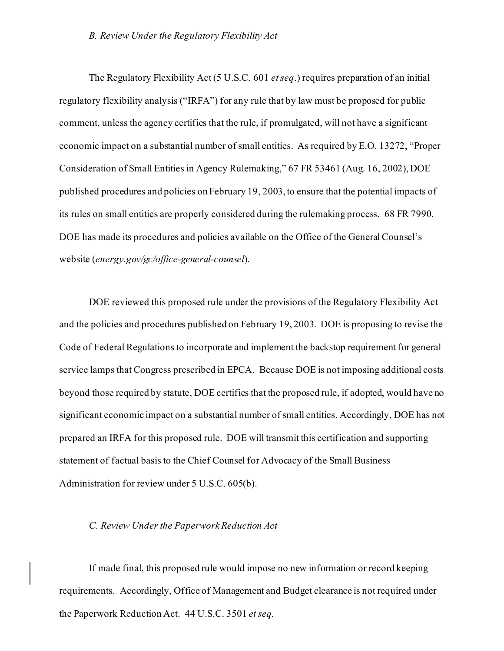### *B. Review Under the Regulatory Flexibility Act*

The Regulatory Flexibility Act (5 U.S.C. 601 *et seq*.) requires preparation of an initial regulatory flexibility analysis ("IRFA") for any rule that by law must be proposed for public comment, unless the agency certifies that the rule, if promulgated, will not have a significant economic impact on a substantial number of small entities. As required by E.O. 13272, "Proper Consideration of Small Entities in Agency Rulemaking," 67 FR 53461 (Aug. 16, 2002), DOE published procedures and policies on February 19, 2003, to ensure that the potential impacts of its rules on small entities are properly considered during the rulemaking process. 68 FR 7990. DOE has made its procedures and policies available on the Office of the General Counsel's website (*energy.gov/gc/office-general-counsel*).

DOE reviewed this proposed rule under the provisions of the Regulatory Flexibility Act and the policies and procedures published on February 19, 2003. DOE is proposing to revise the Code of Federal Regulations to incorporate and implement the backstop requirement for general service lamps that Congress prescribed in EPCA. Because DOE is not imposing additional costs beyond those required by statute, DOE certifies that the proposed rule, if adopted, would have no significant economic impact on a substantial number of small entities. Accordingly, DOE has not prepared an IRFA for this proposed rule. DOE will transmit this certification and supporting statement of factual basis to the Chief Counsel for Advocacy of the Small Business Administration for review under 5 U.S.C. 605(b).

#### *C. Review Under the Paperwork Reduction Act*

If made final, this proposed rule would impose no new information or record keeping requirements. Accordingly, Office of Management and Budget clearance is not required under the Paperwork Reduction Act. 44 U.S.C. 3501 *et seq.*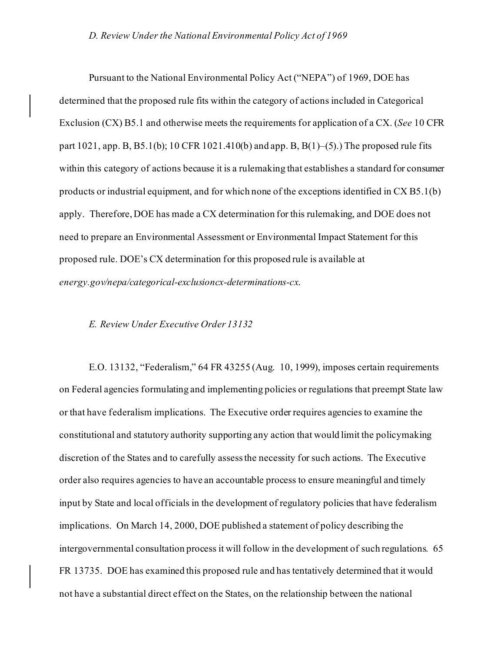#### *D. Review Under the National Environmental Policy Act of 1969*

Pursuant to the National Environmental Policy Act ("NEPA") of 1969, DOE has determined that the proposed rule fits within the category of actions included in Categorical Exclusion (CX) B5.1 and otherwise meets the requirements for application of a CX. (*See* 10 CFR part  $1021$ , app. B,  $B5.1(b)$ ; 10 CFR  $1021.410(b)$  and app. B,  $B(1)$ –(5).) The proposed rule fits within this category of actions because it is a rulemaking that establishes a standard for consumer products or industrial equipment, and for which none of the exceptions identified in CX B5.1(b) apply. Therefore, DOE has made a CX determination for this rulemaking, and DOE does not need to prepare an Environmental Assessment or Environmental Impact Statement for this proposed rule. DOE's CX determination for this proposed rule is available at *energy.gov/nepa/categorical-exclusioncx-determinations-cx*.

#### *E. Review Under Executive Order 13132*

E.O. 13132, "Federalism," 64 FR 43255 (Aug. 10, 1999), imposes certain requirements on Federal agencies formulating and implementing policies or regulations that preempt State law or that have federalism implications. The Executive order requires agencies to examine the constitutional and statutory authority supporting any action that would limit the policymaking discretion of the States and to carefully assess the necessity for such actions. The Executive order also requires agencies to have an accountable process to ensure meaningful and timely input by State and local officials in the development of regulatory policies that have federalism implications. On March 14, 2000, DOE published a statement of policy describing the intergovernmental consultation process it will follow in the development of such regulations. 65 FR 13735. DOE has examined this proposed rule and has tentatively determined that it would not have a substantial direct effect on the States, on the relationship between the national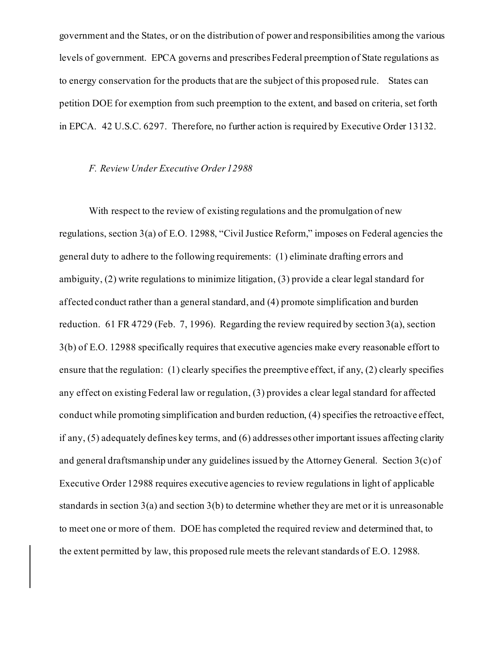government and the States, or on the distribution of power and responsibilities among the various levels of government. EPCA governs and prescribes Federal preemption of State regulations as to energy conservation for the products that are the subject of this proposed rule. States can petition DOE for exemption from such preemption to the extent, and based on criteria, set forth in EPCA. 42 U.S.C. 6297. Therefore, no further action is required by Executive Order 13132.

#### *F. Review Under Executive Order 12988*

With respect to the review of existing regulations and the promulgation of new regulations, section 3(a) of E.O. 12988, "Civil Justice Reform," imposes on Federal agencies the general duty to adhere to the following requirements: (1) eliminate drafting errors and ambiguity, (2) write regulations to minimize litigation, (3) provide a clear legal standard for affected conduct rather than a general standard, and (4) promote simplification and burden reduction. 61 FR 4729 (Feb. 7, 1996). Regarding the review required by section  $3(a)$ , section 3(b) of E.O. 12988 specifically requires that executive agencies make every reasonable effort to ensure that the regulation: (1) clearly specifies the preemptive effect, if any, (2) clearly specifies any effect on existing Federal law or regulation, (3) provides a clear legal standard for affected conduct while promoting simplification and burden reduction, (4) specifies the retroactive effect, if any, (5) adequately defines key terms, and (6) addresses other important issues affecting clarity and general draftsmanship under any guidelines issued by the Attorney General. Section 3(c) of Executive Order 12988 requires executive agencies to review regulations in light of applicable standards in section  $3(a)$  and section  $3(b)$  to determine whether they are met or it is unreasonable to meet one or more of them. DOE has completed the required review and determined that, to the extent permitted by law, this proposed rule meets the relevant standards of E.O. 12988.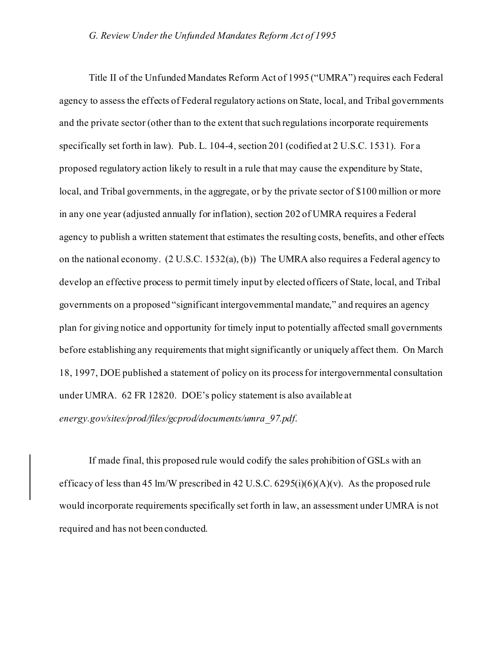Title II of the Unfunded Mandates Reform Act of 1995 ("UMRA") requires each Federal agency to assess the effects of Federal regulatory actions on State, local, and Tribal governments and the private sector (other than to the extent that such regulations incorporate requirements specifically set forth in law). Pub. L. 104-4, section 201 (codified at 2 U.S.C. 1531). For a proposed regulatory action likely to result in a rule that may cause the expenditure by State, local, and Tribal governments, in the aggregate, or by the private sector of \$100 million or more in any one year (adjusted annually for inflation), section 202 of UMRA requires a Federal agency to publish a written statement that estimates the resulting costs, benefits, and other effects on the national economy. (2 U.S.C. 1532(a), (b)) The UMRA also requires a Federal agency to develop an effective process to permit timely input by elected officers of State, local, and Tribal governments on a proposed "significant intergovernmental mandate," and requires an agency plan for giving notice and opportunity for timely input to potentially affected small governments before establishing any requirements that might significantly or uniquely affect them. On March 18, 1997, DOE published a statement of policy on its process for intergovernmental consultation under UMRA. 62 FR 12820. DOE's policy statement is also available at *energy.gov/sites/prod/files/gcprod/documents/umra\_97.pdf*.

If made final, this proposed rule would codify the sales prohibition of GSLs with an efficacy of less than 45 lm/W prescribed in 42 U.S.C.  $6295(i)(6)(A)(v)$ . As the proposed rule would incorporate requirements specifically set forth in law, an assessment under UMRA is not required and has not been conducted.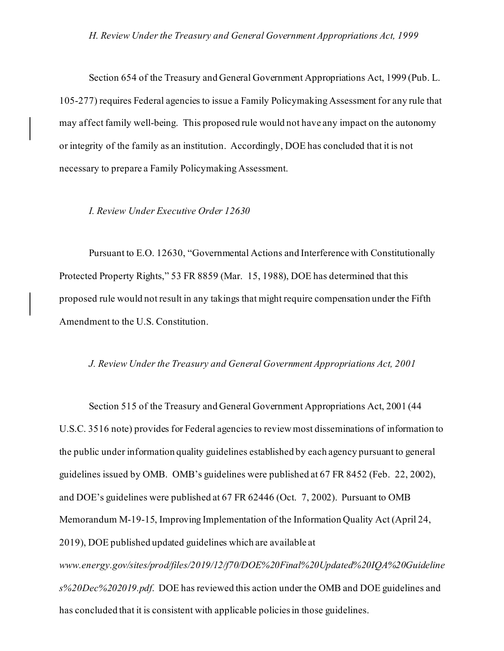Section 654 of the Treasury and General Government Appropriations Act, 1999 (Pub. L. 105-277) requires Federal agencies to issue a Family Policymaking Assessment for any rule that may affect family well-being. This proposed rule would not have any impact on the autonomy or integrity of the family as an institution. Accordingly, DOE has concluded that it is not necessary to prepare a Family Policymaking Assessment.

#### *I. Review Under Executive Order 12630*

Pursuant to E.O. 12630, "Governmental Actions and Interference with Constitutionally Protected Property Rights," 53 FR 8859 (Mar. 15, 1988), DOE has determined that this proposed rule would not result in any takings that might require compensation under the Fifth Amendment to the U.S. Constitution.

#### *J. Review Under the Treasury and General Government Appropriations Act, 2001*

Section 515 of the Treasury and General Government Appropriations Act, 2001 (44 U.S.C. 3516 note) provides for Federal agencies to review most disseminations of information to the public under information quality guidelines established by each agency pursuant to general guidelines issued by OMB. OMB's guidelines were published at 67 FR 8452 (Feb. 22, 2002), and DOE's guidelines were published at 67 FR 62446 (Oct. 7, 2002). Pursuant to OMB Memorandum M-19-15, Improving Implementation of the Information Quality Act (April 24, 2019), DOE published updated guidelines which are available at *www.energy.gov/sites/prod/files/2019/12/f70/DOE%20Final%20Updated%20IQA%20Guideline s%20Dec%202019.pdf*. DOE has reviewed this action under the OMB and DOE guidelines and has concluded that it is consistent with applicable policies in those guidelines.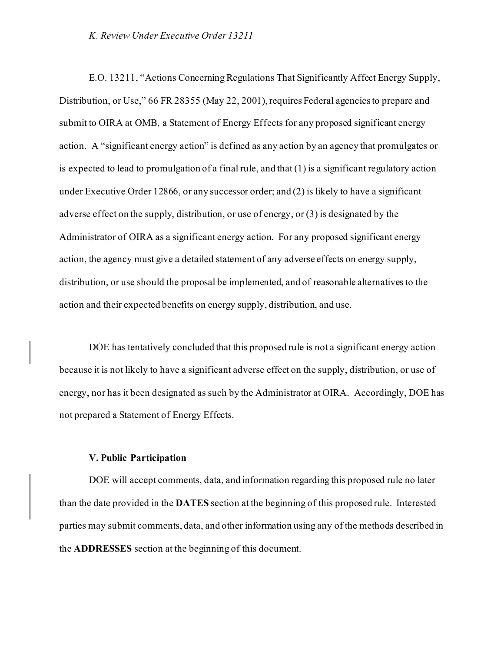#### *K. Review Under Executive Order 13211*

E.O. 13211, "Actions Concerning Regulations That Significantly Affect Energy Supply, Distribution, or Use," 66 FR 28355 (May 22, 2001), requires Federal agencies to prepare and submit to OIRA at OMB, a Statement of Energy Effects for any proposed significant energy action. A "significant energy action" is defined as any action by an agency that promulgates or is expected to lead to promulgation of a final rule, and that (1) is a significant regulatory action under Executive Order 12866, or any successor order; and (2) is likely to have a significant adverse effect on the supply, distribution, or use of energy, or (3) is designated by the Administrator of OIRA as a significant energy action. For any proposed significant energy action, the agency must give a detailed statement of any adverse effects on energy supply, distribution, or use should the proposal be implemented, and of reasonable alternatives to the action and their expected benefits on energy supply, distribution, and use.

DOE has tentatively concluded that this proposed rule is not a significant energy action because it is not likely to have a significant adverse effect on the supply, distribution, or use of energy, nor has it been designated as such by the Administrator at OIRA. Accordingly, DOE has not prepared a Statement of Energy Effects.

### **V. Public Participation**

DOE will accept comments, data, and information regarding this proposed rule no later than the date provided in the **DATES** section at the beginning of this proposed rule. Interested parties may submit comments, data, and other information using any of the methods described in the **ADDRESSES** section at the beginning of this document.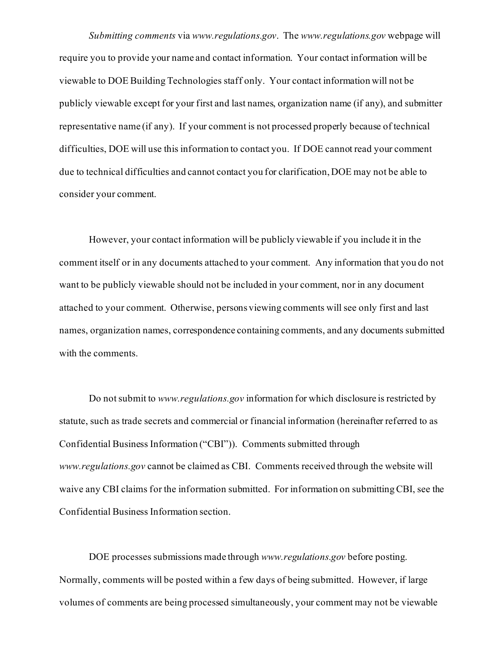*Submitting comments* via *www.regulations.gov*. The *www.regulations.gov* webpage will require you to provide your name and contact information. Your contact information will be viewable to DOE Building Technologies staff only. Your contact information will not be publicly viewable except for your first and last names, organization name (if any), and submitter representative name (if any). If your comment is not processed properly because of technical difficulties, DOE will use this information to contact you. If DOE cannot read your comment due to technical difficulties and cannot contact you for clarification, DOE may not be able to consider your comment.

However, your contact information will be publicly viewable if you include it in the comment itself or in any documents attached to your comment. Any information that you do not want to be publicly viewable should not be included in your comment, nor in any document attached to your comment. Otherwise, persons viewing comments will see only first and last names, organization names, correspondence containing comments, and any documents submitted with the comments.

Do not submit to *www.regulations.gov* information for which disclosure is restricted by statute, such as trade secrets and commercial or financial information (hereinafter referred to as Confidential Business Information ("CBI")). Comments submitted through *www.regulations.gov* cannot be claimed as CBI. Comments received through the website will waive any CBI claims for the information submitted. For information on submitting CBI, see the Confidential Business Information section.

DOE processes submissions made through *www.regulations.gov* before posting. Normally, comments will be posted within a few days of being submitted. However, if large volumes of comments are being processed simultaneously, your comment may not be viewable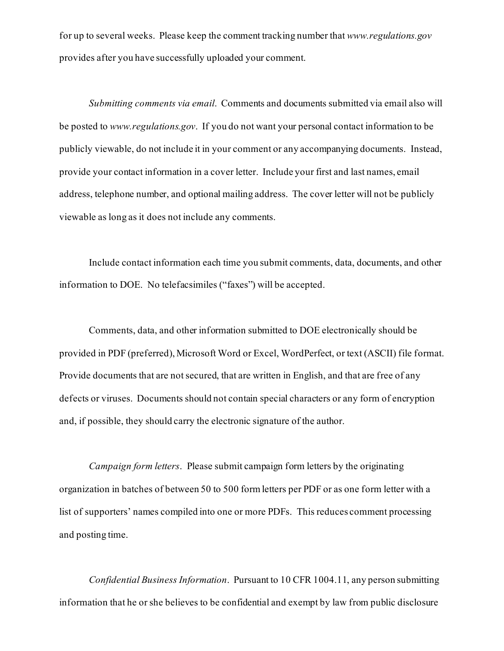for up to several weeks. Please keep the comment tracking number that *www.regulations.gov* provides after you have successfully uploaded your comment.

*Submitting comments via email*. Comments and documents submitted via email also will be posted to *www.regulations.gov*. If you do not want your personal contact information to be publicly viewable, do not include it in your comment or any accompanying documents. Instead, provide your contact information in a cover letter. Include your first and last names, email address, telephone number, and optional mailing address. The cover letter will not be publicly viewable as long as it does not include any comments.

Include contact information each time you submit comments, data, documents, and other information to DOE. No telefacsimiles ("faxes") will be accepted.

Comments, data, and other information submitted to DOE electronically should be provided in PDF (preferred), Microsoft Word or Excel, WordPerfect, or text (ASCII) file format. Provide documents that are not secured, that are written in English, and that are free of any defects or viruses. Documents should not contain special characters or any form of encryption and, if possible, they should carry the electronic signature of the author.

*Campaign form letters*. Please submit campaign form letters by the originating organization in batches of between 50 to 500 form letters per PDF or as one form letter with a list of supporters' names compiled into one or more PDFs. This reduces comment processing and posting time.

*Confidential Business Information*. Pursuant to 10 CFR 1004.11, any person submitting information that he or she believes to be confidential and exempt by law from public disclosure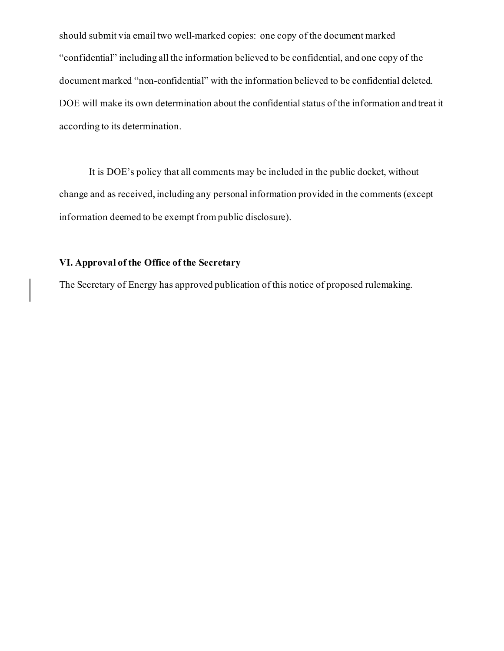should submit via email two well-marked copies: one copy of the document marked "confidential" including all the information believed to be confidential, and one copy of the document marked "non-confidential" with the information believed to be confidential deleted. DOE will make its own determination about the confidential status of the information and treat it according to its determination.

It is DOE's policy that all comments may be included in the public docket, without change and as received, including any personal information provided in the comments (except information deemed to be exempt from public disclosure).

# **VI. Approval of the Office of the Secretary**

The Secretary of Energy has approved publication of this notice of proposed rulemaking.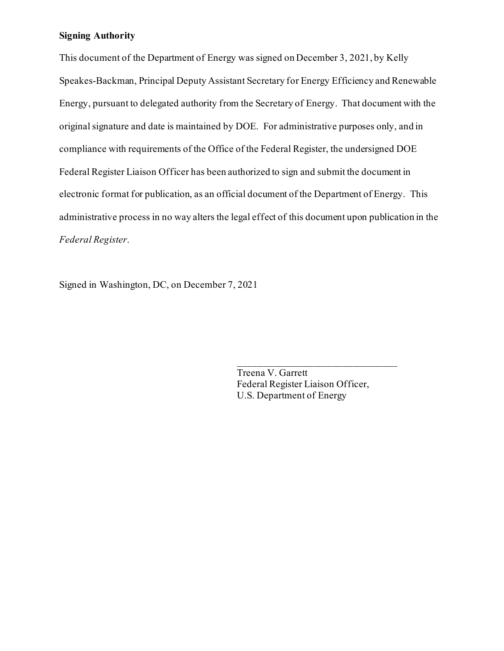### **Signing Authority**

This document of the Department of Energy was signed on December 3, 2021, by Kelly Speakes-Backman, Principal Deputy Assistant Secretary for Energy Efficiency and Renewable Energy, pursuant to delegated authority from the Secretary of Energy. That document with the original signature and date is maintained by DOE. For administrative purposes only, and in compliance with requirements of the Office of the Federal Register, the undersigned DOE Federal Register Liaison Officer has been authorized to sign and submit the document in electronic format for publication, as an official document of the Department of Energy. This administrative process in no way alters the legal effect of this document upon publication in the *Federal Register*.

Signed in Washington, DC, on December 7, 2021

Treena V. Garrett Federal Register Liaison Officer, U.S. Department of Energy

\_\_\_\_\_\_\_\_\_\_\_\_\_\_\_\_\_\_\_\_\_\_\_\_\_\_\_\_\_\_\_\_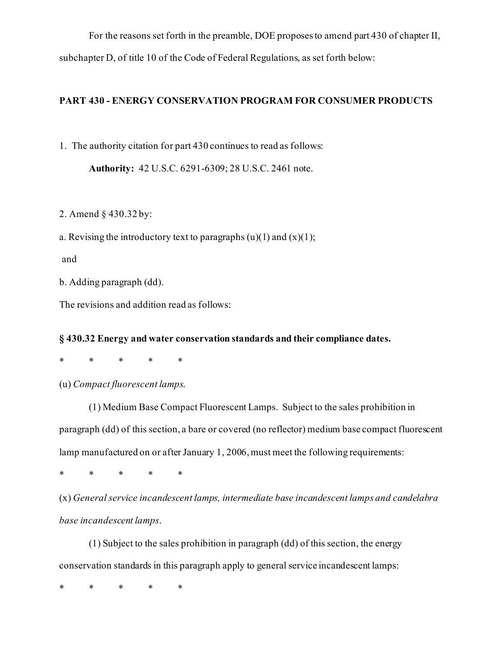For the reasons set forth in the preamble, DOE proposes to amend part 430 of chapter II, subchapter D, of title 10 of the Code of Federal Regulations, as set forth below:

# **PART 430 - ENERGY CONSERVATION PROGRAM FOR CONSUMER PRODUCTS**

1. The authority citation for part 430 continues to read as follows:

**Authority:** 42 U.S.C. 6291-6309; 28 U.S.C. 2461 note.

2. Amend § 430.32 by:

a. Revising the introductory text to paragraphs  $(u)(1)$  and  $(x)(1)$ ;

and

b. Adding paragraph (dd).

The revisions and addition read as follows:

### **§ 430.32 Energy and water conservation standards and their compliance dates.**

\* \* \* \* \*

(u) *Compact fluorescent lamps*.

(1) Medium Base Compact Fluorescent Lamps. Subject to the sales prohibition in paragraph (dd) of this section, a bare or covered (no reflector) medium base compact fluorescent lamp manufactured on or after January 1, 2006, must meet the following requirements:

\* \* \* \* \*

(x) *General service incandescent lamps, intermediate base incandescent lamps and candelabra base incandescent lamps*.

(1) Subject to the sales prohibition in paragraph (dd) of this section, the energy conservation standards in this paragraph apply to general service incandescent lamps:

\* \* \* \* \*